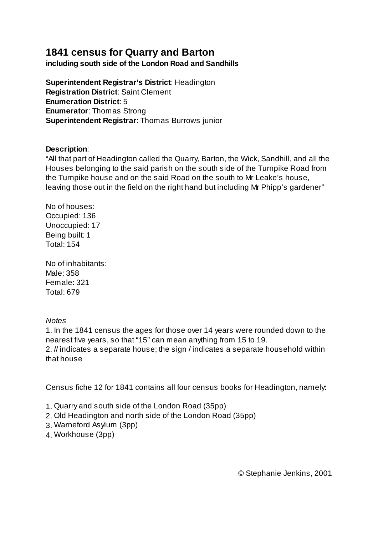## **1841 census for Quarry and Barton**

**including south side of the London Road and Sandhills**

**Superintendent Registrar's District**: Headington **Registration District**: Saint Clement **Enumeration District**: 5 **Enumerator**: Thomas Strong **Superintendent Registrar**: Thomas Burrows junior

## **Description**:

"All that part of Headington called the Quarry, Barton, the Wick, Sandhill, and all the Houses belonging to the said parish on the south side of the Turnpike Road from the Turnpike house and on the said Road on the south to Mr Leake's house, leaving those out in the field on the right hand but including Mr Phipp's gardener"

No of houses: Occupied: 136 Unoccupied: 17 Being built: 1 Total: 154

No of inhabitants: Male: 358 Female: 321 Total: 679

## *Notes*

1. In the 1841 census the ages for those over 14 years were rounded down to the nearest five years, so that "15" can mean anything from 15 to 19.

2. // indicates a separate house; the sign / indicates a separate household within that house

Census fiche 12 for 1841 contains all four census books for Headington, namely:

- 1. Quarry and south side of the London Road (35pp)
- 2. Old Headington and north side of the London Road (35pp)
- 3. Warneford Asylum (3pp)
- 4. Workhouse (3pp)

© Stephanie Jenkins, 2001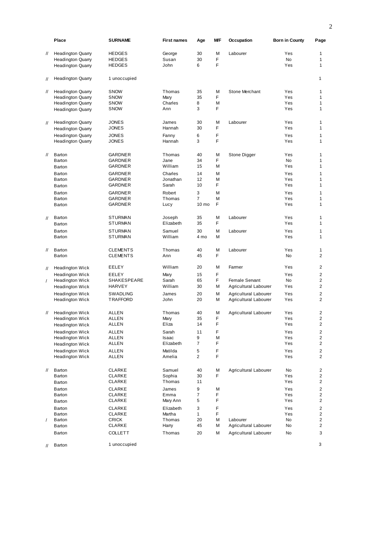|                   | Place                                            | <b>SURNAME</b>                      | <b>First names</b> | Age              | МF     | Occupation                                     | <b>Born in County</b> | Page           |
|-------------------|--------------------------------------------------|-------------------------------------|--------------------|------------------|--------|------------------------------------------------|-----------------------|----------------|
| 11                | <b>Headington Quarry</b>                         | <b>HEDGES</b>                       | George             | 30               | M      | Labourer                                       | Yes                   | $\mathbf{1}$   |
|                   | <b>Headington Quarry</b>                         | <b>HEDGES</b>                       | Susan              | 30               | F      |                                                | <b>No</b>             | $\mathbf{1}$   |
|                   | <b>Headington Quarry</b>                         | <b>HEDGES</b>                       | John               | 6                | F      |                                                | Yes                   | $\mathbf{1}$   |
| $^{\prime\prime}$ | <b>Headington Quarry</b>                         | 1 unoccupied                        |                    |                  |        |                                                |                       | $\mathbf{1}$   |
| $^{\prime\prime}$ | <b>Headington Quarry</b>                         | <b>SNOW</b>                         | Thomas             | 35               | M      | Stone Merchant                                 | Yes                   | $\mathbf{1}$   |
|                   | <b>Headington Quarry</b>                         | <b>SNOW</b>                         | Mary               | 35               | F      |                                                | Yes                   | $\mathbf{1}$   |
|                   | <b>Headington Quarry</b>                         | <b>SNOW</b>                         | Charles            | 8                | М      |                                                | Yes                   | 1              |
|                   | <b>Headington Quarry</b>                         | <b>SNOW</b>                         | Ann                | 3                | F      |                                                | Yes                   | 1              |
| $^{\prime\prime}$ | <b>Headington Quarry</b>                         | <b>JONES</b>                        | James              | 30               | M      | Labourer                                       | Yes                   | 1              |
|                   | <b>Headington Quarry</b>                         | <b>JONES</b>                        | Hannah             | 30               | F      |                                                | Yes                   | $\mathbf{1}$   |
|                   | <b>Headington Quarry</b>                         | <b>JONES</b>                        | Fanny              | 6                | F      |                                                | Yes                   | 1              |
|                   | <b>Headington Quarry</b>                         | <b>JONES</b>                        | Hannah             | 3                | F      |                                                | Yes                   | $\mathbf{1}$   |
| $^{\prime\prime}$ | Barton                                           | <b>GARDNER</b>                      | Thomas             | 40               | M      | Stone Digger                                   | Yes                   | 1              |
|                   | Barton                                           | <b>GARDNER</b>                      | Jane               | 34               | F      |                                                | <b>No</b>             | 1              |
|                   | Barton                                           | <b>GARDNER</b>                      | William            | 15               | M      |                                                | Yes                   | 1              |
|                   | Barton                                           | GARDNER                             | Charles            | 14               | M      |                                                | Yes                   | 1              |
|                   | Barton                                           | <b>GARDNER</b>                      | Jonathan           | 12               | М      |                                                | Yes                   | 1              |
|                   | Barton                                           | <b>GARDNER</b>                      | Sarah              | 10               | F      |                                                | Yes                   | 1              |
|                   | Barton                                           | <b>GARDNER</b>                      | Robert             | 3                | M      |                                                | Yes                   | 1              |
|                   | Barton                                           | GARDNER                             | Thomas             | $\overline{7}$   | M      |                                                | Yes                   | 1              |
|                   | Barton                                           | <b>GARDNER</b>                      | Lucy               | 10 <sub>mo</sub> | F      |                                                | Yes                   | 1              |
| $\prime\prime$    | Barton                                           | <b>STURMAN</b>                      | Joseph             | 35               | M      | Labourer                                       | Yes                   | 1              |
|                   | Barton                                           | <b>STURMAN</b>                      | Elizabeth          | 35               | F      |                                                | Yes                   | 1              |
|                   | Barton                                           | <b>STURMAN</b>                      | Samuel             | 30               | M      | Labourer                                       | Yes                   | 1              |
|                   | Barton                                           | <b>STURMAN</b>                      | William            | 4 mo             | М      |                                                | Yes                   | $\mathbf{1}$   |
| $^{\prime\prime}$ | Barton                                           | <b>CLEMENTS</b>                     | Thomas             | 40               | M      | Labourer                                       | Yes                   | 1              |
|                   | Barton                                           | <b>CLEMENTS</b>                     | Ann                | 45               | F      |                                                | <b>No</b>             | 2              |
| $^{\prime\prime}$ | Headington Wick                                  | EELEY                               | William            | 20               | M      | Farmer                                         | Yes                   | 2              |
|                   | Headington Wick                                  | EELEY                               | Mary               | 15               | F      |                                                | Yes                   | 2              |
| $\prime$          | Headington Wick                                  | <b>SHAKESPEARE</b><br><b>HARVEY</b> | Sarah<br>William   | 65<br>30         | F      | <b>Female Servant</b>                          | <b>No</b><br>Yes      | 2<br>2         |
|                   | Headington Wick                                  |                                     |                    |                  | M      | Agricultural Labourer                          |                       |                |
|                   | <b>Headington Wick</b><br><b>Headington Wick</b> | <b>SWADLING</b><br>TRAFFORD         | James<br>John      | 20<br>20         | М<br>М | Agricultural Labourer<br>Agricultural Labourer | Yes<br>Yes            | 2<br>2         |
|                   |                                                  |                                     |                    |                  |        |                                                |                       |                |
| //                | Headington Wick                                  | <b>ALLEN</b>                        | Thomas             | 40<br>35         | M<br>F | Agricultural Labourer                          | Yes<br>Yes            | 2<br>2         |
|                   | <b>Headington Wick</b>                           | ALLEN<br>ALLEN                      | Mary<br>Eliza      | 14               | F      |                                                | Yes                   | 2              |
|                   | Headington Wick                                  |                                     |                    |                  |        |                                                |                       |                |
|                   | <b>Headington Wick</b>                           | ALLEN<br>ALLEN                      | Sarah<br>Isaac     | 11<br>9          | F<br>М |                                                | Yes<br>Yes            | 2<br>2         |
|                   | Headington Wick<br><b>Headington Wick</b>        | ALLEN                               | Elizabeth          | 7                | F      |                                                | Yes                   | $\overline{2}$ |
|                   | Headington Wick                                  | <b>ALLEN</b>                        | Matilda            | 5                | F      |                                                | Yes                   | $\overline{2}$ |
|                   | Headington Wick                                  | ALLEN                               | Amelia             | $\overline{2}$   | F      |                                                | Yes                   | 2              |
| $^{\prime\prime}$ | Barton                                           | CLARKE                              | Samuel             | 40               | M      | Agricultural Labourer                          | No                    | 2              |
|                   | Barton                                           | CLARKE                              | Sophia             | 30               | F      |                                                | Yes                   | 2              |
|                   | Barton                                           | CLARKE                              | Thomas             | 11               |        |                                                | Yes                   | $\overline{2}$ |
|                   | Barton                                           | <b>CLARKE</b>                       | James              | 9                | Μ      |                                                | Yes                   | 2              |
|                   | Barton                                           | CLARKE                              | Emma               | 7                | F      |                                                | Yes                   | 2              |
|                   | Barton                                           | CLARKE                              | Mary Ann           | 5                | F      |                                                | Yes                   | 2              |
|                   | Barton                                           | CLARKE                              | Elizabeth          | 3                | F      |                                                | Yes                   | $\mathbf{2}$   |
|                   | Barton                                           | CLARKE                              | Martha             | $\mathbf{1}$     | F      |                                                | Yes                   | 2              |
| $\prime$          | Barton                                           | <b>CRICK</b>                        | Thomas             | 20               | М      | Labourer                                       | No                    | $\overline{2}$ |
|                   | Barton                                           | CLARKE                              | Harry              | 45               | М      | Agricultural Labourer                          | No                    | 2              |
|                   | Barton                                           | <b>COLLETT</b>                      | Thomas             | 20               | М      | Agricultural Labourer                          | No                    | 3              |
| $^{\prime\prime}$ | Barton                                           | 1 unoccupied                        |                    |                  |        |                                                |                       | 3              |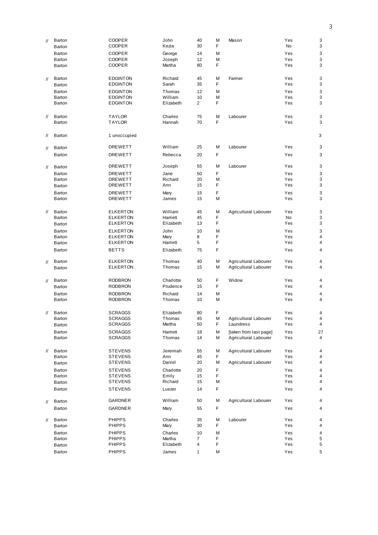| $^{\prime\prime}$ | Barton<br>Barton | <b>COOPER</b><br>COOPER | John<br>Kezia | 40<br>30 | M<br>F      | Mason                  | Yes<br>No | 3<br>3         |
|-------------------|------------------|-------------------------|---------------|----------|-------------|------------------------|-----------|----------------|
|                   | Barton           | <b>COOPER</b>           | George        | 14       | M           |                        | Yes       | 3              |
|                   | Barton           | <b>COOPER</b>           | Joseph        | 12       | M           |                        | Yes       | 3              |
|                   | Barton           | <b>COOPER</b>           | Martha        | 80       | F           |                        | Yes       | 3              |
| $\mathcal{U}$     | Barton           | <b>EDGINTON</b>         | Richard       | 45       | M           | Farmer                 | Yes       | 3              |
|                   | Barton           | <b>EDGINTON</b>         | Sarah         | 35       | F           |                        | Yes       | 3              |
|                   | Barton           | <b>EDGINTON</b>         | Thomas        | 12       | M           |                        | Yes       | 3              |
|                   | Barton           | <b>EDGINTON</b>         | William       | 10       | M           |                        | Yes       | 3              |
|                   | Barton           | <b>EDGINTON</b>         | Elizabeth     | 2        | F           |                        | Yes       | 3              |
| $^{\prime\prime}$ | Barton           | <b>TAYLOR</b>           | Charles       | 75       | M           | Labourer               | Yes       | 3              |
|                   | Barton           | <b>TAYLOR</b>           | Hannah        | 70       | F           |                        | Yes       | 3              |
| $^{\prime\prime}$ | Barton           | 1 unoccupied            |               |          |             |                        |           | 3              |
| $^{\prime\prime}$ | Barton           | <b>DREWETT</b>          | William       | 25       | M           | Labourer               | Yes       | 3              |
|                   | Barton           | <b>DREWETT</b>          | Rebecca       | 20       | F           |                        | Yes       | 3              |
| $\prime\prime$    | Barton           | <b>DREWETT</b>          | Joseph        | 55       | M           | Labourer               | Yes       | 3              |
|                   | Barton           | <b>DREWETT</b>          | Jane          | 50       | F           |                        | Yes       | 3              |
|                   | Barton           | <b>DREWETT</b>          | Richard       | 20       | M           |                        | Yes       | 3              |
|                   | Barton           | <b>DREWETT</b>          | Ann           | 15       | F           |                        | Yes       | 3              |
|                   | Barton           | <b>DREWETT</b>          | Mary          | 15       | F           |                        | Yes       | 3              |
|                   | Barton           | <b>DREWETT</b>          | James         | 15       | M           |                        | Yes       | 3              |
| $^{\prime\prime}$ | Barton           | <b>ELKERTON</b>         | William       | 45       | M           | Agricultural Labourer  | Yes       | 3              |
|                   | Barton           | <b>ELKERTON</b>         | Harriett      | 45       | F           |                        | No        | 3              |
|                   | Barton           | <b>ELKERTON</b>         | Elizabeth     | 13       | F           |                        | Yes       | 3              |
|                   | Barton           | <b>ELKERTON</b>         | John          | 10       | M           |                        | Yes       | 3              |
|                   | Barton           | <b>ELKERTON</b>         | Mary          | 8        | F           |                        | Yes       | 4              |
|                   | Barton           | <b>ELKERTON</b>         | Harriett      | 5        | F           |                        | Yes       | 4              |
|                   | Barton           | <b>BETTS</b>            | Elizabeth     | 75       | F           |                        | Yes       | 4              |
| 11                | Barton           | <b>ELKERTON</b>         | Thomas        | 40       | M           | Agricultural Labourer  | Yes       | 4              |
|                   | Barton           | <b>ELKERTON</b>         | Thomas        | 15       | M           | Agricultural Labourer  | Yes       | 4              |
| 11                | Barton           | <b>RODBRON</b>          | Charlotte     | 50       | F           | Widow                  | Yes       | 4              |
|                   | Barton           | <b>RODBRON</b>          | Prudence      | 15       | F           |                        | Yes       | 4              |
|                   | Barton           | <b>RODBRON</b>          | Richard       | 14       | M           |                        | Yes       | 4              |
|                   | Barton           | <b>RODBRON</b>          | Thomas        | 10       | M           |                        | Yes       | 4              |
| $^{\prime\prime}$ | Barton           | <b>SCRAGGS</b>          | Elizabeth     | 80       | F           |                        | Yes       | 4              |
|                   | Barton           | <b>SCRAGGS</b>          | Thomas        | 45       | M           | Agricultural Labourer  | Yes       | 4              |
|                   | Barton           | <b>SCRAGGS</b>          | Martha        | 50       | F           | Laundress              | Yes       | 4              |
|                   | Barton           | <b>SCRAGGS</b>          | Harriett      | 18       | M           | [taken from last page] | Yes       | 27             |
|                   | Barton           | <b>SCRAGGS</b>          | Thomas        | 14       | М           | Agricultural Labourer  | Yes       | 4              |
| $^{\prime\prime}$ | Barton           | <b>STEVENS</b>          | Jeremiah      | 55       | M           | Agricultural Labourer  | Yes       | 4              |
|                   | Barton           | <b>STEVENS</b>          | Ann           | 45       | F           |                        | Yes       | 4              |
|                   | Barton           | <b>STEVENS</b>          | Daniel        | 20       | Μ           | Agricultural Labourer  | Yes       | 4              |
|                   | Barton           | <b>STEVENS</b>          | Charlotte     | 20       | F           |                        | Yes       | 4              |
|                   | Barton           | <b>STEVENS</b>          | Emily         | 15       | F           |                        | Yes       | $\overline{4}$ |
|                   | Barton           | <b>STEVENS</b>          | Richard       | 15       | M           |                        | Yes       | 4              |
|                   | Barton           | <b>STEVENS</b>          | Luezer        | 14       | $\mathsf F$ |                        | Yes       | 4              |
| $^{\prime\prime}$ | Barton           | GARDNER                 | William       | 50       | M           | Agricultural Labourer  | Yes       | 4              |
|                   | Barton           | GARDNER                 | Mary          | 55       | F           |                        | Yes       | 4              |
| $^{\prime\prime}$ | Barton           | <b>PHIPPS</b>           | Charles       | 35       | M           | Labourer               | Yes       | 4              |
|                   | Barton           | <b>PHIPPS</b>           | Mary          | 30       | F           |                        | Yes       | 4              |
|                   | Barton           | <b>PHIPPS</b>           | Charles       | 10       | M           |                        | Yes       | 4              |
|                   | Barton           | <b>PHIPPS</b>           | Martha        | 7        | F           |                        | Yes       | 5              |
|                   | Barton           | <b>PHIPPS</b>           | Elizabeth     | 4        | F           |                        | Yes       | 5              |
|                   | Barton           | <b>PHIPPS</b>           | James         | 1        | М           |                        | Yes       | 5              |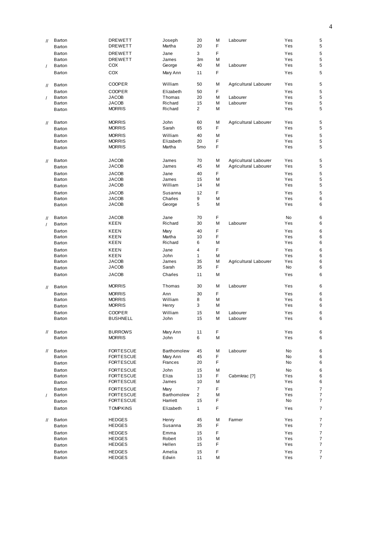| $^{\prime\prime}$ | Barton | <b>DREWETT</b>   | Joseph      | 20              | M | Labourer                | Yes | 5 |
|-------------------|--------|------------------|-------------|-----------------|---|-------------------------|-----|---|
|                   | Barton | <b>DREWETT</b>   | Martha      | 20              | F |                         | Yes | 5 |
|                   | Barton | <b>DREWETT</b>   | Jane        | 3               | F |                         | Yes | 5 |
|                   |        |                  |             |                 |   |                         |     |   |
|                   | Barton | <b>DREWETT</b>   | James       | 3m              | M |                         | Yes | 5 |
| $\prime$          | Barton | COX              | George      | 40              | M | Labourer                | Yes | 5 |
|                   | Barton | COX              | Mary Ann    | 11              | F |                         | Yes | 5 |
|                   |        |                  |             |                 |   |                         |     |   |
| $^{\prime\prime}$ | Barton | COOPER           | William     | 50              | M | Agricultural Labourer   | Yes | 5 |
|                   |        |                  |             |                 |   |                         |     |   |
|                   | Barton | <b>COOPER</b>    | Elizabeth   | 50              | F |                         | Yes | 5 |
| $\sqrt{2}$        | Barton | <b>JACOB</b>     | Thomas      | 20              | М | Labourer                | Yes | 5 |
|                   | Barton | <b>JACOB</b>     | Richard     | 15              | M | Labourer                | Yes | 5 |
|                   | Barton | <b>MORRIS</b>    | Richard     | 2               | М |                         | Yes | 5 |
|                   |        |                  |             |                 |   |                         |     |   |
| $\mathcal{U}$     | Barton | <b>MORRIS</b>    | John        | 60              | M | Agricultural Labourer   | Yes | 5 |
|                   | Barton | <b>MORRIS</b>    | Sarah       | 65              | F |                         | Yes | 5 |
|                   |        |                  |             |                 |   |                         |     |   |
|                   | Barton | <b>MORRIS</b>    | William     | 40              | M |                         | Yes | 5 |
|                   | Barton | <b>MORRIS</b>    | Elizabeth   | 20              | F |                         | Yes | 5 |
|                   | Barton | <b>MORRIS</b>    | Martha      | 5 <sub>mo</sub> | F |                         | Yes | 5 |
|                   |        |                  |             |                 |   |                         |     |   |
| $\mathcal{U}$     | Barton | <b>JACOB</b>     | James       | 70              | M | Agricultural Labourer   | Yes | 5 |
|                   | Barton | <b>JACOB</b>     | James       | 45              | M | Agricultural Labourer   | Yes | 5 |
|                   |        |                  |             |                 |   |                         |     |   |
|                   | Barton | <b>JACOB</b>     | Jane        | 40              | F |                         | Yes | 5 |
|                   | Barton | <b>JACOB</b>     | James       | 15              | M |                         | Yes | 5 |
|                   | Barton | <b>JACOB</b>     | William     | 14              | M |                         | Yes | 5 |
|                   | Barton | <b>JACOB</b>     | Susanna     | 12              | F |                         | Yes | 5 |
|                   |        |                  |             |                 |   |                         |     |   |
|                   | Barton | <b>JACOB</b>     | Charles     | 9               | M |                         | Yes | 6 |
|                   | Barton | <b>JACOB</b>     | George      | 5               | M |                         | Yes | 6 |
|                   |        |                  |             |                 |   |                         |     |   |
| $^{\prime\prime}$ | Barton | <b>JACOB</b>     | Jane        | 70              | F |                         | No  | 6 |
| $\prime$          | Barton | KEEN             | Richard     | 30              | M | Labourer                | Yes | 6 |
|                   |        |                  |             |                 |   |                         |     |   |
|                   | Barton | KEEN             | Mary        | 40              | F |                         | Yes | 6 |
|                   | Barton | <b>KEEN</b>      | Martha      | 10              | F |                         | Yes | 6 |
|                   | Barton | <b>KEEN</b>      | Richard     | 6               | M |                         | Yes | 6 |
|                   | Barton | <b>KEEN</b>      | Jane        | 4               | F |                         | Yes | 6 |
|                   | Barton | KEEN             | John        | $\mathbf{1}$    | M |                         | Yes | 6 |
|                   | Barton | <b>JACOB</b>     | James       | 35              | M |                         | Yes | 6 |
|                   |        |                  |             |                 |   | Agricultural Labourer   |     |   |
|                   | Barton | <b>JACOB</b>     | Sarah       | 35              | F |                         | No  | 6 |
|                   | Barton | <b>JACOB</b>     | Charles     | 11              | M |                         | Yes | 6 |
|                   |        |                  |             |                 |   |                         |     |   |
| $\frac{1}{2}$     | Barton | <b>MORRIS</b>    | Thomas      | 30              | M | Labourer                | Yes | 6 |
|                   | Barton | <b>MORRIS</b>    | Ann         | 30              | F |                         | Yes | 6 |
|                   | Barton | <b>MORRIS</b>    | William     | 8               | M |                         | Yes | 6 |
|                   |        | <b>MORRIS</b>    |             | 3               | M |                         | Yes | 6 |
|                   | Barton |                  | Henry       |                 |   |                         |     |   |
|                   | Barton | <b>COOPER</b>    | William     | 15              | M | Labourer                | Yes | 6 |
|                   | Barton | <b>BUSHNELL</b>  | John        | 15              | M | Labourer                | Yes | 6 |
|                   |        |                  |             |                 |   |                         |     |   |
| $^{\prime\prime}$ | Barton | <b>BURROWS</b>   | Mary Ann    | 11              | F |                         | Yes | 6 |
|                   | Barton | <b>MORRIS</b>    | John        | 6               | М |                         | Yes | 6 |
|                   |        |                  |             |                 |   |                         |     |   |
|                   |        |                  |             |                 |   |                         |     |   |
| $\prime\prime$    | Barton | <b>FORTESCUE</b> | Barthomolew | 45              | M | Labourer                | No  | 6 |
|                   | Barton | <b>FORTESCUE</b> | Mary Ann    | 45              | F |                         | No  | 6 |
|                   | Barton | <b>FORTESCUE</b> | Frances     | 20              | F |                         | No  | 6 |
|                   | Barton | <b>FORTESCUE</b> | John        | 15              | M |                         | No  | 6 |
|                   |        |                  |             |                 | F | Cabmkrac <sup>[?]</sup> |     |   |
|                   | Barton | <b>FORTESCUE</b> | Eliza       | 13              |   |                         | Yes | 6 |
|                   | Barton | <b>FORTESCUE</b> | James       | 10              | M |                         | Yes | 6 |
|                   | Barton | <b>FORTESCUE</b> | Mary        | $\overline{7}$  | F |                         | Yes | 7 |
| $\prime$          | Barton | <b>FORTESCUE</b> | Barthomolew | 2               | M |                         | Yes | 7 |
|                   | Barton | <b>FORTESCUE</b> | Harriett    | 15              | F |                         | No  | 7 |
|                   |        |                  |             |                 |   |                         |     |   |
|                   | Barton | <b>TOMPKINS</b>  | Elizabeth   | $\mathbf{1}$    | F |                         | Yes | 7 |
|                   |        |                  |             |                 |   |                         |     |   |
| $^{\prime\prime}$ | Barton | <b>HEDGES</b>    | Henry       | 45              | M | Farmer                  | Yes | 7 |
|                   | Barton | <b>HEDGES</b>    | Susanna     | 35              | F |                         | Yes | 7 |
|                   | Barton | <b>HEDGES</b>    | Emma        | 15              | F |                         | Yes | 7 |
|                   | Barton | <b>HEDGES</b>    | Robert      | 15              | M |                         | Yes | 7 |
|                   | Barton | <b>HEDGES</b>    | Hellen      | 15              | F |                         | Yes | 7 |
|                   |        |                  |             |                 |   |                         |     |   |
|                   | Barton | <b>HEDGES</b>    | Amelia      | 15              | F |                         | Yes | 7 |
|                   | Barton | <b>HEDGES</b>    | Edwin       | 11              | M |                         | Yes | 7 |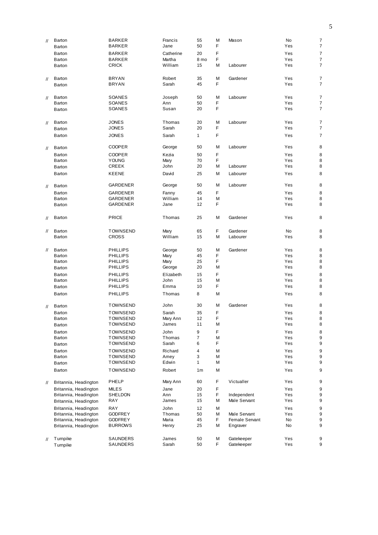| $^{\prime\prime}$ | Barton                                         | <b>BARKER</b>                | Francis        | 55                | M      | Mason                       | No         | 7                        |
|-------------------|------------------------------------------------|------------------------------|----------------|-------------------|--------|-----------------------------|------------|--------------------------|
|                   | Barton                                         | <b>BARKER</b>                | Jane           | 50                | F      |                             | Yes        | $\overline{\mathcal{I}}$ |
|                   | Barton                                         | <b>BARKER</b>                | Catherine      | 20                | F      |                             | Yes        | $\boldsymbol{7}$         |
|                   | Barton                                         | <b>BARKER</b>                | Martha         | 8 mo              | F      |                             | Yes        | $\overline{\mathcal{I}}$ |
|                   | Barton                                         | <b>CRICK</b>                 | William        | 15                | М      | Labourer                    | Yes        | $\overline{7}$           |
| 11                | Barton                                         | <b>BRYAN</b>                 | Robert         | 35                | M      | Gardener                    | Yes        | 7                        |
|                   | Barton                                         | <b>BRYAN</b>                 | Sarah          | 45                | F      |                             | Yes        | $\overline{7}$           |
|                   |                                                |                              |                |                   |        |                             |            |                          |
| $^{\prime\prime}$ | Barton                                         | SOANES                       | Joseph         | 50                | M      | Labourer                    | Yes        | $\overline{\mathcal{I}}$ |
|                   | Barton                                         | SOANES                       | Ann            | 50                | F      |                             | Yes        | $\overline{\mathcal{I}}$ |
|                   | Barton                                         | SOANES                       | Susan          | 20                | F      |                             | Yes        | $\overline{7}$           |
|                   |                                                |                              |                |                   |        |                             |            |                          |
| $^{\prime\prime}$ | <b>Barton</b>                                  | <b>JONES</b>                 | Thomas         | 20                | M<br>F | Labourer                    | Yes        | 7<br>$\overline{7}$      |
|                   | Barton                                         | <b>JONES</b>                 | Sarah          | 20                |        |                             | Yes        |                          |
|                   | Barton                                         | <b>JONES</b>                 | Sarah          | $\mathbf{1}$      | F      |                             | Yes        | $\overline{7}$           |
| 11                | Barton                                         | <b>COOPER</b>                | George         | 50                | М      | Labourer                    | Yes        | 8                        |
|                   | Barton                                         | <b>COOPER</b>                | Kezia          | 50                | F      |                             | Yes        | 8                        |
|                   | Barton                                         | <b>YOUNG</b>                 | Mary           | 70                | F      |                             | Yes        | 8                        |
|                   | Barton                                         | CREEK                        | John           | 20                | М      | Labourer                    | Yes        | 8                        |
|                   | Barton                                         | KEENE                        | David          | 25                | Μ      | Labourer                    | Yes        | 8                        |
| 11                | Barton                                         | GARDENER                     | George         | 50                | Μ      | Labourer                    | Yes        | 8                        |
|                   | Barton                                         | GARDENER                     | Fanny          | 45                | F      |                             | Yes        | 8                        |
|                   | Barton                                         | GARDENER                     | William        | 14                | M      |                             | Yes        | 8                        |
|                   | Barton                                         | GARDENER                     | Jane           | 12                | F      |                             | Yes        | 8                        |
|                   |                                                |                              |                |                   |        |                             |            |                          |
| $^{\prime\prime}$ | Barton                                         | <b>PRICE</b>                 | Thomas         | 25                | M      | Gardener                    | Yes        | 8                        |
| //                | Barton                                         | <b>TOWNSEND</b>              | Mary           | 65                | F      | Gardener                    | No         | 8                        |
|                   | Barton                                         | <b>CROSS</b>                 | William        | 15                | М      | Labourer                    | Yes        | 8                        |
|                   |                                                |                              |                |                   |        |                             |            |                          |
| 11                | Barton                                         | <b>PHILLIPS</b>              | George         | 50                | M      | Gardener                    | Yes        | 8                        |
|                   | Barton                                         | <b>PHILLIPS</b>              | Mary           | 45                | F      |                             | Yes        | 8                        |
|                   | Barton                                         | <b>PHILLIPS</b>              | Mary           | 25                | F      |                             | Yes        | 8                        |
|                   | Barton                                         | <b>PHILLIPS</b>              | George         | 20                | M      |                             | Yes        | 8                        |
|                   | Barton                                         | <b>PHILLIPS</b>              | Elizabeth      | 15                | F      |                             | Yes        | 8                        |
|                   | Barton                                         | <b>PHILLIPS</b>              | John           | 15                | M      |                             | Yes        | 8                        |
|                   | Barton                                         | <b>PHILLIPS</b>              | Emma           | 10                | F      |                             | Yes        | 8                        |
|                   | Barton                                         | <b>PHILLIPS</b>              | Thomas         | 8                 | M      |                             | Yes        | 8                        |
| $\prime\prime$    | Barton                                         | <b>TOWNSEND</b>              | John           | 30                | M      | Gardener                    | Yes        | 8                        |
|                   | Barton                                         | <b>TOWNSEND</b>              | Sarah          | 35                | F      |                             | Yes        | 8                        |
|                   | Barton                                         | <b>TOWNSEND</b>              | Mary Ann       | 12                | F      |                             | Yes        | 8                        |
|                   | Barton                                         | <b>TOWNSEND</b>              | James          | 11                | М      |                             | Yes        | 8                        |
|                   | Barton                                         | <b>TOWNSEND</b>              | John           | 9                 | F      |                             | Yes        | 8                        |
|                   | Barton                                         | <b>TOWNSEND</b>              | Thomas         | 7                 | М      |                             | Yes        | 9                        |
|                   | Barton                                         | <b>TOWNSEND</b>              | Sarah          | 6                 | F      |                             | Yes        | 9                        |
|                   | Barton                                         | <b>TOWNSEND</b>              | Richard        | $\overline{4}$    | М      |                             | Yes        | 9                        |
|                   | Barton                                         | TOWNSEND<br><b>TOWNSEND</b>  | Amey<br>Edwin  | 3<br>$\mathbf{1}$ | М<br>М |                             | Yes<br>Yes | 9<br>9                   |
|                   | Barton<br>Barton                               | <b>TOWNSEND</b>              | Robert         | 1 <sub>m</sub>    | М      |                             | Yes        | 9                        |
|                   |                                                |                              |                |                   |        |                             |            |                          |
| $^{\prime\prime}$ | Britannia, Headington                          | PHELP                        | Mary Ann       | 60                | F      | Victualler                  | Yes        | 9                        |
|                   | Britannia, Headington                          | MILES                        | Jane           | 20                | F      |                             | Yes        | 9                        |
|                   | Britannia, Headington                          | SHELDON<br><b>RAY</b>        | Ann<br>James   | 15<br>15          | F<br>М | Independent<br>Male Servant | Yes<br>Yes | 9<br>9                   |
|                   | Britannia, Headington                          |                              |                |                   |        |                             |            |                          |
|                   | Britannia, Headington<br>Britannia, Headington | <b>RAY</b><br><b>GODFREY</b> | John<br>Thomas | 12<br>50          | Μ<br>М | Male Servant                | Yes<br>Yes | 9<br>9                   |
|                   | Britannia, Headington                          | <b>GODFREY</b>               | Maria          | 45                | F      | Female Servant              | No         | 9                        |
|                   | Britannia, Headington                          | <b>BURROWS</b>               | Henry          | 25                | М      | Engraver                    | No         | 9                        |
|                   |                                                |                              |                |                   |        |                             |            |                          |
| $^{\prime\prime}$ | Tumpike                                        | SAUNDERS                     | James          | 50                | М      | Gatekeeper                  | Yes        | 9                        |
|                   | Tumpike                                        | SAUNDERS                     | Sarah          | 50                | F      | Gatekeeper                  | Yes        | 9                        |
|                   |                                                |                              |                |                   |        |                             |            |                          |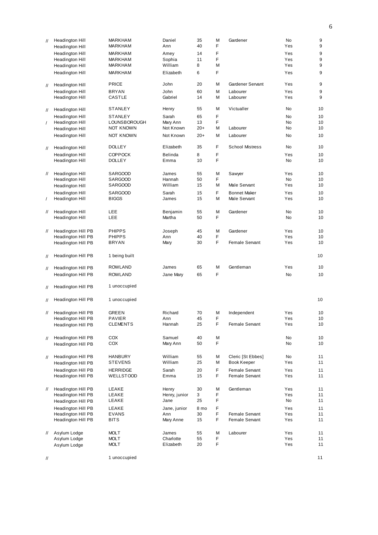| $^{\prime\prime}$ | Headington Hill                    | <b>MARKHAM</b>   | Daniel             | 35       | M      | Gardener               | <b>No</b>              | 9        |
|-------------------|------------------------------------|------------------|--------------------|----------|--------|------------------------|------------------------|----------|
|                   | Headington Hill                    | <b>MARKHAM</b>   | Ann                | 40       | F      |                        | Yes                    | 9        |
|                   | Headington Hill                    | <b>MARKHAM</b>   | Amey               | 14       | F      |                        | Yes                    | 9        |
|                   | Headington Hill                    | <b>MARKHAM</b>   | Sophia             | 11       | F      |                        | Yes                    | 9        |
|                   | Headington Hill                    | MARKHAM          | William            | 8        | M      |                        | Yes                    | 9        |
|                   | Headington Hill                    | MARKHAM          | Elizabeth          | 6        | F      |                        | Yes                    | 9        |
| $^{\prime\prime}$ | Headington Hill                    | <b>PRICE</b>     | John               | 20       | M      | Gardener Servant       | Yes                    | 9        |
|                   | Headington Hill                    | <b>BRYAN</b>     | John               | 60       | M      | Labourer               | Yes                    | 9        |
|                   | Headington Hill                    | CASTLE           | Gabriel            | 14       | M      | Labourer               | Yes                    | 9        |
| $^{\prime\prime}$ | Headington Hill                    | <b>STANLEY</b>   | Henry              | 55       | M      | Victualler             | No                     | 10       |
|                   | Headington Hill                    | <b>STANLEY</b>   | Sarah              | 65       | F      |                        | No                     | 10       |
| $\prime$          | Headington Hill                    | LOUNSBOROUGH     | Mary Ann           | 13       | F      |                        | No                     | 10       |
|                   | Headington Hill                    | <b>NOT KNOWN</b> | Not Known          | $20+$    | M      | Labourer               | No                     | 10       |
|                   | Headington Hill                    | <b>NOT KNOWN</b> | Not Known          | $20+$    | M      | Labourer               | No                     | 10       |
| $^{\prime\prime}$ | Headington Hill                    | <b>DOLLEY</b>    | Elizabeth          | 35       | F      | <b>School Mistress</b> | No                     | 10       |
|                   | Headington Hill                    | <b>COPPOCK</b>   | <b>Belinda</b>     | 8        | F      |                        | Yes                    | 10       |
|                   | Headington Hill                    | <b>DOLLEY</b>    | Emma               | 10       | F      |                        | <b>No</b>              | 10       |
| 11                | Headington Hill                    | <b>SARGOOD</b>   | James              | 55       | M      | Sawyer                 | Yes                    | 10       |
|                   | Headington Hill                    | <b>SARGOOD</b>   | Hannah             | 50       | F      |                        | <b>No</b>              | 10       |
|                   | Headington Hill                    | <b>SARGOOD</b>   | William            | 15       | M      | Male Servant           | Yes                    | 10       |
|                   | Headington Hill                    | <b>SARGOOD</b>   | Sarah              | 15       | F      | <b>Bonnet Maker</b>    | Yes                    | 10       |
| $\prime$          | Headington Hill                    | <b>BIGGS</b>     | James              | 15       | M      | Male Servant           | Yes                    | 10       |
|                   |                                    |                  |                    |          |        |                        |                        |          |
| 11                | Headington Hill<br>Headington Hill | LEE<br>LEE       | Benjamin<br>Martha | 55<br>50 | M<br>F | Gardener               | <b>No</b><br><b>No</b> | 10<br>10 |
|                   |                                    |                  |                    |          |        |                        |                        |          |
| 11                | Headington Hill PB                 | <b>PHIPPS</b>    | Joseph             | 45       | M      | Gardener               | Yes                    | 10       |
|                   | Headington Hill PB                 | <b>PHIPPS</b>    | Ann                | 40       | F      |                        | Yes                    | 10       |
|                   | Headington Hill PB                 | <b>BRYAN</b>     | Mary               | 30       | F      | <b>Female Servant</b>  | Yes                    | 10       |
| $^{\prime\prime}$ | Headington Hill PB                 | 1 being built    |                    |          |        |                        |                        | 10       |
|                   | Headington Hill PB                 | <b>ROWLAND</b>   | James              | 65       | M      | Gentleman              | Yes                    | 10       |
| 11                |                                    | ROWLAND          |                    | 65       | F      |                        | <b>No</b>              | 10       |
|                   | Headington Hill PB                 |                  | Jane Mary          |          |        |                        |                        |          |
| $^{\prime\prime}$ | Headington Hill PB                 | 1 unoccupied     |                    |          |        |                        |                        |          |
| 11                | Headington Hill PB                 | 1 unoccupied     |                    |          |        |                        |                        | 10       |
| 11                | Headington Hill PB                 | <b>GREEN</b>     | Richard            | 70       | M      | Independent            | Yes                    | 10       |
|                   | Headington Hill PB                 | PAVIER           | Ann                | 45       | F      |                        | Yes                    | 10       |
|                   | Headington Hill PB                 | <b>CLEMENTS</b>  | Hannah             | 25       | F      | Female Servant         | Yes                    | 10       |
|                   |                                    |                  |                    |          |        |                        |                        |          |
| 11                | Headington Hill PB                 | COX              | Samuel             | 40       | M      |                        | No                     | 10       |
|                   | Headington Hill PB                 | COX              | Mary Ann           | 50       | F      |                        | No                     | 10       |
| //                | Headington Hill PB                 | <b>HANBURY</b>   | William            | 55       | M      | Cleric [St Ebbes]      | No                     | 11       |
|                   | Headington Hill PB                 | <b>STEVENS</b>   | William            | 25       | M      | <b>Book Keeper</b>     | Yes                    | 11       |
|                   | Headington Hill PB                 | <b>HERRIDGE</b>  | Sarah              | 20       | F      | Female Servant         | Yes                    | 11       |
|                   | Headington Hill PB                 | <b>WELLSTOOD</b> | Emma               | 15       | F      | Female Servant         | Yes                    | 11       |
| $^{\prime\prime}$ | Headington Hill PB                 | LEAKE            | Henry              | 30       | M      | Gentleman              | Yes                    | 11       |
|                   | Headington Hill PB                 | LEAKE            | Henry, junior      | 3        | F      |                        | Yes                    | 11       |
|                   | Headington Hill PB                 | LEAKE            | Jane               | 25       | F      |                        | No                     | 11       |
|                   | Headington Hill PB                 | LEAKE            | Jane, junior       | 8 mo     | F      |                        | Yes                    | 11       |
|                   | Headington Hill PB                 | <b>EVANS</b>     | Ann                | 30       | F      | Female Servant         | Yes                    | 11       |
|                   | Headington Hill PB                 | <b>BITS</b>      | Mary Anne          | 15       | F      | Female Servant         | Yes                    | 11       |
| $^{\prime\prime}$ | Asylum Lodge                       | <b>MOLT</b>      | James              | 55       | M      | Labourer               | Yes                    | 11       |
|                   | Asylum Lodge                       | MOLT             | Charlotte          | 55       | F      |                        | Yes                    | 11       |
|                   | Asylum Lodge                       | MOLT             | Elizabeth          | 20       | F      |                        | Yes                    | 11       |
|                   |                                    |                  |                    |          |        |                        |                        |          |
| $^{\prime\prime}$ |                                    | 1 unoccupied     |                    |          |        |                        |                        | 11       |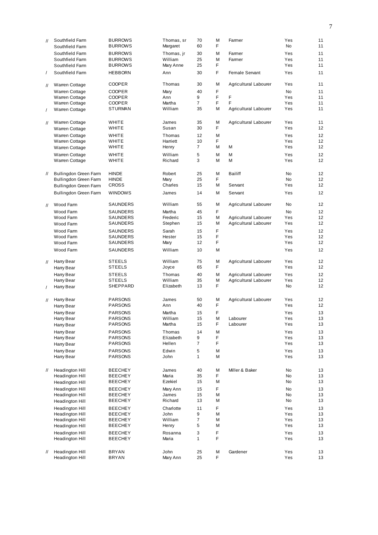| $^{\prime\prime}$ | Southfield Farm<br>Southfield Farm | <b>BURROWS</b><br><b>BURROWS</b> | Thomas, sr<br>Margaret | 70<br>60       | М<br>F | Farmer                | Yes<br><b>No</b> | 11<br>11 |
|-------------------|------------------------------------|----------------------------------|------------------------|----------------|--------|-----------------------|------------------|----------|
|                   | Southfield Farm                    |                                  |                        |                | M      | Farmer                | Yes              | 11       |
|                   |                                    | <b>BURROWS</b>                   | Thomas, jr             | 30             |        |                       |                  |          |
|                   | Southfield Farm                    | <b>BURROWS</b>                   | William                | 25             | M      | Farmer                | Yes              | 11       |
|                   | Southfield Farm                    | <b>BURROWS</b>                   | Mary Anne              | 25             | F      |                       | Yes              | 11       |
| $\sqrt{2}$        | Southfield Farm                    | <b>HEBBORN</b>                   | Ann                    | 30             | F      | Female Servant        | Yes              | 11       |
| $^{\prime\prime}$ | Warren Cottage                     | <b>COOPER</b>                    | Thomas                 | 30             | М      | Agricultural Labourer | Yes              | 11       |
|                   | Warren Cottage                     | <b>COOPER</b>                    | Mary                   | 40             | F      |                       | <b>No</b>        | 11       |
|                   | Warren Cottage                     | <b>COOPER</b>                    | Ann                    | 9              | F      | F                     | Yes              | 11       |
|                   | Warren Cottage                     | <b>COOPER</b>                    | Martha                 | $\overline{7}$ | F      | F                     | Yes              | 11       |
| $\prime$          | <b>Warren Cottage</b>              | <b>STURMAN</b>                   | William                | 35             | M      | Agricultural Labourer | Yes              | 11       |
|                   |                                    |                                  |                        |                |        |                       |                  |          |
| $^{\prime\prime}$ | Warren Cottage                     | <b>WHITE</b>                     | James                  | 35             | M      | Agricultural Labourer | Yes              | 11       |
|                   | <b>Warren Cottage</b>              | <b>WHITE</b>                     | Susan                  | 30             | F      |                       | Yes              | 12       |
|                   | Warren Cottage                     | <b>WHITE</b>                     | Thomas                 | 12             | M      |                       | Yes              | 12       |
|                   |                                    |                                  |                        |                |        |                       |                  |          |
|                   | Warren Cottage                     | WHITE                            | Harriett               | 10             | F      |                       | Yes              | 12       |
|                   | Warren Cottage                     | WHITE                            | Henry                  | $\overline{7}$ | M      | M                     | Yes              | 12       |
|                   | Warren Cottage                     | WHITE                            | William                | 5              | M      | M                     | Yes              | 12       |
|                   | Warren Cottage                     | WHITE                            | Richard                | 3              | M      | M                     | Yes              | 12       |
| $^{\prime\prime}$ | Bullingdon Green Farm              | <b>HINDE</b>                     | Robert                 | 25             | M      | <b>Bailiff</b>        | <b>No</b>        | 12       |
|                   | Bullingdon Green Farm              | <b>HINDE</b>                     | Mary                   | 25             | F      |                       | <b>No</b>        | 12       |
|                   | Bullingdon Green Farm              | <b>CROSS</b>                     | Charles                | 15             | M      | Servant               | Yes              | 12       |
|                   |                                    |                                  | James                  | 14             | M      | Servant               | Yes              | 12       |
|                   | Bullingdon Green Farm              | <b>WINDOWS</b>                   |                        |                |        |                       |                  |          |
| $\prime\prime$    | Wood Farm                          | SAUNDERS                         | William                | 55             | M      | Agricultural Labourer | <b>No</b>        | 12       |
|                   | Wood Farm                          | SAUNDERS                         | Martha                 | 45             | F      |                       | <b>No</b>        | 12       |
|                   | Wood Farm                          | SAUNDERS                         | Frederic               | 15             | M      | Agricultural Labourer | Yes              | 12       |
|                   |                                    |                                  |                        | 15             | М      |                       | Yes              | 12       |
|                   | Wood Farm                          | SAUNDERS                         | Stephen                |                |        | Agricultural Labourer |                  |          |
|                   | Wood Farm                          | <b>SAUNDERS</b>                  | Sarah                  | 15             | F      |                       | Yes              | 12       |
|                   | Wood Farm                          | SAUNDERS                         | Hester                 | 15             | F      |                       | Yes              | 12       |
|                   | Wood Farm                          | SAUNDERS                         | Mary                   | 12             | F      |                       | Yes              | 12       |
|                   | Wood Farm                          | SAUNDERS                         | William                | 10             | М      |                       | Yes              | 12       |
|                   |                                    |                                  |                        |                |        |                       |                  |          |
| $^{\prime\prime}$ | Harry Bear                         | <b>STEELS</b>                    | William                | 75             | M      | Agricultural Labourer | Yes              | 12       |
|                   | Harry Bear                         | <b>STEELS</b>                    | Joyce                  | 65             | F      |                       | Yes              | 12       |
|                   | Harry Bear                         | <b>STEELS</b>                    | Thomas                 | 40             | M      | Agricultural Labourer | Yes              | 12       |
|                   | Harry Bear                         | <b>STEELS</b>                    | William                | 35             | М      | Agricultural Labourer | Yes              | 12       |
|                   |                                    | SHEPPARD                         | Elizabeth              | 13             | F      |                       | No               | 12       |
| $\prime$          | Harry Bear                         |                                  |                        |                |        |                       |                  |          |
| $^{\prime\prime}$ | Harry Bear                         | <b>PARSONS</b>                   | James                  | 50             | М      | Agricultural Labourer | Yes              | 12       |
|                   | Harry Bear                         | <b>PARSONS</b>                   | Ann                    | 40             | F      |                       | Yes              | 12       |
|                   |                                    |                                  |                        |                |        |                       |                  |          |
|                   | Harry Bear                         | <b>PARSONS</b>                   | Martha                 | 15             | F      |                       | Yes              | 13       |
|                   | Harry Bear                         | PARSONS                          | William                | 15             | М      | Labourer              | Yes              | 13       |
|                   | Harry Bear                         | PARSONS                          | Martha                 | 15             | F      | Labourer              | Yes              | 13       |
|                   | Harry Bear                         | <b>PARSONS</b>                   | Thomas                 | 14             | M      |                       | Yes              | 13       |
|                   | Harry Bear                         | <b>PARSONS</b>                   | Elizabeth              | 9              | F      |                       | Yes              | 13       |
|                   | Harry Bear                         | <b>PARSONS</b>                   | Hellen                 | 7              | F      |                       | Yes              | 13       |
|                   |                                    |                                  |                        |                |        |                       |                  |          |
|                   | Harry Bear                         | <b>PARSONS</b>                   | Edwin                  | 5              | M      |                       | Yes              | 13       |
|                   | Harry Bear                         | <b>PARSONS</b>                   | John                   | $\mathbf{1}$   | М      |                       | Yes              | 13       |
| $^{\prime\prime}$ | Headington Hill                    | <b>BEECHEY</b>                   | James                  | 40             | М      | Miller & Baker        | No               | 13       |
|                   | Headington Hill                    | <b>BEECHEY</b>                   | Maria                  | 35             | F      |                       | No               | 13       |
|                   |                                    |                                  | Ezekiel                | 15             | М      |                       | No               | 13       |
|                   | Headington Hill                    | <b>BEECHEY</b>                   |                        |                |        |                       |                  |          |
|                   | <b>Headington Hill</b>             | <b>BEECHEY</b>                   | Mary Ann               | 15             | F      |                       | No               | 13       |
|                   | Headington Hill                    | <b>BEECHEY</b>                   | James                  | 15             | М      |                       | No               | 13       |
|                   | Headington Hill                    | <b>BEECHEY</b>                   | Richard                | 13             | М      |                       | No               | 13       |
|                   | Headington Hill                    | <b>BEECHEY</b>                   | Charlotte              | 11             | F      |                       | Yes              | 13       |
|                   |                                    |                                  |                        |                |        |                       |                  |          |
|                   | Headington Hill                    | <b>BEECHEY</b>                   | John                   | 9              | М      |                       | Yes              | 13       |
|                   | Headington Hill                    | <b>BEECHEY</b>                   | William                | 7              | М      |                       | Yes              | 13       |
|                   | Headington Hill                    | <b>BEECHEY</b>                   | Henry                  | 5              | М      |                       | Yes              | 13       |
|                   | Headington Hill                    | <b>BEECHEY</b>                   | Rosanna                | 3              | F      |                       | Yes              | 13       |
|                   | Headington Hill                    | <b>BEECHEY</b>                   | Maria                  | $\mathbf{1}$   | F      |                       | Yes              | 13       |
|                   |                                    |                                  |                        |                |        |                       |                  |          |
| $^{\prime\prime}$ | Headington Hill                    | BRYAN                            | John                   | 25             | М      | Gardener              | Yes              | 13       |
|                   | Headington Hill                    | BRYAN                            | Mary Ann               | 25             | F      |                       | Yes              | 13       |
|                   |                                    |                                  |                        |                |        |                       |                  |          |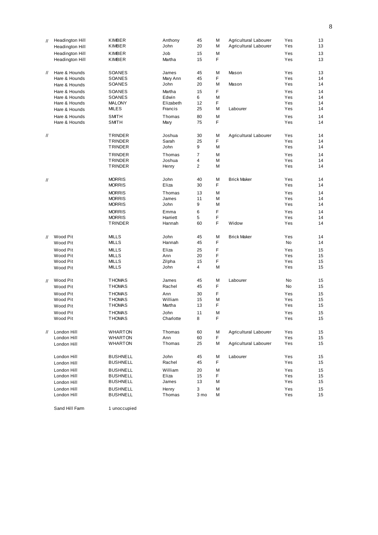| $^{\prime\prime}$ | Headington Hill<br>Headington Hill | KIMBER<br>KIMBER             | Anthony<br>John | 45<br>20            | M<br>М | Agricultural Labourer<br>Agricultural Labourer | Yes<br>Yes | 13<br>13 |
|-------------------|------------------------------------|------------------------------|-----------------|---------------------|--------|------------------------------------------------|------------|----------|
|                   | Headington Hill<br>Headington Hill | KIMBER<br>KIMBER             | Job<br>Martha   | 15<br>15            | M<br>F |                                                | Yes<br>Yes | 13<br>13 |
| $^{\prime\prime}$ | Hare & Hounds                      | SOANES                       | James           | 45                  | M      | Mason                                          | Yes        | 13       |
|                   | Hare & Hounds                      | SOANES                       | Mary Ann        | 45                  | F      |                                                | Yes        | 14       |
|                   | Hare & Hounds                      | SOANES                       | John            | 20                  | M      | Mason                                          | Yes        | 14       |
|                   | Hare & Hounds                      | SOANES                       | Martha          | 15                  | F      |                                                | Yes        | 14       |
|                   | Hare & Hounds                      | SOANES                       | Edwin           | 6                   | M      |                                                | Yes        | 14       |
|                   | Hare & Hounds                      | <b>MALONY</b>                | Elizabeth       | 12                  | F      |                                                | Yes        | 14       |
|                   | Hare & Hounds                      | MILES                        | Francis         | 25                  | M      | Labourer                                       | Yes        | 14       |
|                   | Hare & Hounds<br>Hare & Hounds     | <b>SMITH</b><br><b>SMITH</b> | Thomas<br>Mary  | 80<br>75            | M<br>F |                                                | Yes<br>Yes | 14<br>14 |
| $^{\prime\prime}$ |                                    | TRINDER                      | Joshua          | 30                  | M      | Agricultural Labourer                          | Yes        | 14       |
|                   |                                    | TRINDER                      | Sarah           | 25                  | F      |                                                | Yes        | 14       |
|                   |                                    | TRINDER                      | John            | 9                   | M      |                                                | Yes        | 14       |
|                   |                                    | <b>TRINDER</b>               | Thomas          | 7                   | M      |                                                | Yes        | 14       |
|                   |                                    | TRINDER<br><b>TRINDER</b>    | Joshua          | 4<br>$\overline{2}$ | М<br>M |                                                | Yes<br>Yes | 14<br>14 |
|                   |                                    |                              | Henry           |                     |        |                                                |            |          |
| 11                |                                    | <b>MORRIS</b>                | John            | 40                  | M      | <b>Brick Maker</b>                             | Yes        | 14       |
|                   |                                    | <b>MORRIS</b>                | Eliza           | 30                  | F      |                                                | Yes        | 14       |
|                   |                                    | <b>MORRIS</b>                | Thomas          | 13                  | M      |                                                | Yes        | 14       |
|                   |                                    | <b>MORRIS</b>                | James           | 11                  | М      |                                                | Yes        | 14       |
|                   |                                    | <b>MORRIS</b>                | John            | 9                   | М      |                                                | Yes        | 14       |
|                   |                                    | <b>MORRIS</b>                | Emma            | 6                   | F      |                                                | Yes        | 14       |
|                   |                                    | <b>MORRIS</b>                | Harriett        | 5                   | F      |                                                | Yes        | 14       |
|                   |                                    | TRINDER                      | Hannah          | 60                  | F      | Widow                                          | Yes        | 14       |
| $\mathcal{U}$     | Wood Pit                           | <b>MILLS</b>                 | John            | 45                  | M      | <b>Brick Maker</b>                             | Yes        | 14       |
|                   | Wood Pit                           | MILLS                        | Hannah          | 45                  | F      |                                                | No         | 14       |
|                   | Wood Pit                           | <b>MILLS</b>                 | Eliza           | 25                  | F      |                                                | Yes        | 15       |
|                   | Wood Pit                           | <b>MILLS</b>                 | Ann             | 20                  | F      |                                                | Yes        | 15       |
|                   | Wood Pit                           | MILLS<br><b>MILLS</b>        | Zilpha<br>John  | 15<br>4             | F<br>M |                                                | Yes<br>Yes | 15<br>15 |
|                   | Wood Pit                           |                              |                 |                     |        |                                                |            |          |
| $\mathcal{U}$     | Wood Pit                           | <b>THOMAS</b>                | James           | 45                  | M      | Labourer                                       | No         | 15       |
|                   | Wood Pit                           | <b>THOMAS</b>                | Rachel          | 45                  | F      |                                                | No         | 15       |
|                   | Wood Pit                           | <b>THOMAS</b>                | Ann             | 30                  | F      |                                                | Yes        | 15       |
|                   | Wood Pit                           | <b>THOMAS</b>                | William         | 15                  | M      |                                                | Yes        | 15       |
|                   | Wood Pit                           | <b>THOMAS</b>                | Martha          | 13                  | F      |                                                | Yes        | 15       |
|                   | Wood Pit                           | <b>THOMAS</b>                | John            | 11                  | M      |                                                | Yes        | 15       |
|                   | Wood Pit                           | <b>THOMAS</b>                | Charlotte       | 8                   | F      |                                                | Yes        | 15       |
| $\mathcal{U}$     | London Hill                        | WHARTON                      | Thomas          | 60                  | М      | Agricultural Labourer                          | Yes        | 15       |
|                   | London Hill                        | WHARTON                      | Ann             | 60                  | F      |                                                | Yes        | 15       |
|                   | London Hill                        | WHARTON                      | Thomas          | 25                  | М      | Agricultural Labourer                          | Yes        | 15       |
|                   | London Hill                        | <b>BUSHNELL</b>              | John            | 45                  | M      | Labourer                                       | Yes        | 15       |
|                   | London Hill                        | <b>BUSHNELL</b>              | Rachel          | 45                  | F      |                                                | Yes        | 15       |
|                   | London Hill                        | <b>BUSHNELL</b>              | William         | 20                  | M      |                                                | Yes        | 15       |
|                   | London Hill                        | BUSHNELL                     | Eliza           | 15                  | F      |                                                | Yes        | 15       |
|                   | London Hill                        | <b>BUSHNELL</b>              | James           | 13                  | М      |                                                | Yes        | 15       |
|                   | London Hill                        | <b>BUSHNELL</b>              | Henry           | 3                   | М      |                                                | Yes        | 15       |
|                   | London Hill                        | <b>BUSHNELL</b>              | Thomas          | 3 mo                | М      |                                                | Yes        | 15       |

Sand Hill Farm 1 unoccupied

8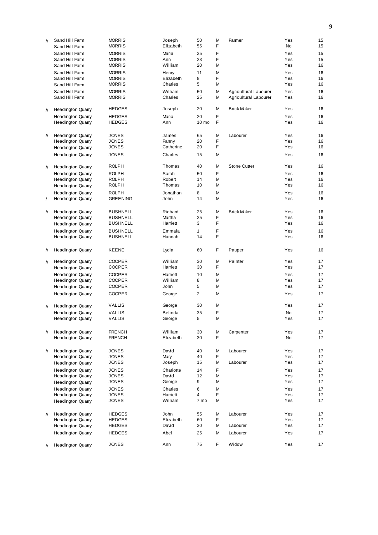| $\mathcal{U}$     | Sand Hill Farm           | <b>MORRIS</b>                | Joseph    | 50           | M | Farmer                | Yes | 15 |
|-------------------|--------------------------|------------------------------|-----------|--------------|---|-----------------------|-----|----|
|                   | Sand Hill Farm           | <b>MORRIS</b>                | Elizabeth | 55           | F |                       | No  | 15 |
|                   |                          | <b>MORRIS</b>                | Maria     | 25           | F |                       |     | 15 |
|                   | Sand Hill Farm           | <b>MORRIS</b>                |           |              | F |                       | Yes |    |
|                   | Sand Hill Farm           |                              | Ann       | 23           |   |                       | Yes | 15 |
|                   | Sand Hill Farm           | <b>MORRIS</b>                | William   | 20           | М |                       | Yes | 16 |
|                   | Sand Hill Farm           | <b>MORRIS</b>                | Henry     | 11           | М |                       | Yes | 16 |
|                   | Sand Hill Farm           | <b>MORRIS</b>                | Elizabeth | 8            | F |                       | Yes | 16 |
|                   | Sand Hill Farm           | <b>MORRIS</b>                | Charles   | 5            | M |                       | Yes | 16 |
|                   | Sand Hill Farm           | <b>MORRIS</b>                | William   | 50           | M | Agricultural Labourer | Yes | 16 |
|                   | Sand Hill Farm           | <b>MORRIS</b>                | Charles   | 25           | Μ | Agricultural Labourer | Yes | 16 |
|                   |                          |                              |           |              |   |                       |     |    |
| $^{\prime\prime}$ | <b>Headington Quarry</b> | <b>HEDGES</b>                | Joseph    | 20           | М | <b>Brick Maker</b>    | Yes | 16 |
|                   |                          |                              |           |              |   |                       |     |    |
|                   | <b>Headington Quarry</b> | <b>HEDGES</b>                | Maria     | 20           | F |                       | Yes | 16 |
|                   | <b>Headington Quarry</b> | <b>HEDGES</b>                | Ann       | 10 mo        | F |                       | Yes | 16 |
|                   |                          |                              |           |              |   |                       |     |    |
| $^{\prime\prime}$ | <b>Headington Quarry</b> | <b>JONES</b>                 | James     | 65           | M | Labourer              | Yes | 16 |
|                   | <b>Headington Quarry</b> | <b>JONES</b>                 | Fanny     | 20           | F |                       | Yes | 16 |
|                   | <b>Headington Quarry</b> | <b>JONES</b>                 | Catherine | 20           | F |                       | Yes | 16 |
|                   | <b>Headington Quarry</b> | <b>JONES</b>                 | Charles   | 15           | М |                       | Yes | 16 |
|                   |                          |                              |           |              |   |                       |     |    |
| $^{\prime\prime}$ | <b>Headington Quarry</b> | <b>ROLPH</b>                 | Thomas    | 40           | M | <b>Stone Cutter</b>   | Yes | 16 |
|                   |                          |                              |           |              | F |                       | Yes |    |
|                   | <b>Headington Quarry</b> | <b>ROLPH</b>                 | Sarah     | 50           |   |                       |     | 16 |
|                   | <b>Headington Quarry</b> | <b>ROLPH</b>                 | Robert    | 14           | Μ |                       | Yes | 16 |
|                   | <b>Headington Quarry</b> | <b>ROLPH</b>                 | Thomas    | 10           | Μ |                       | Yes | 16 |
|                   | <b>Headington Quarry</b> | <b>ROLPH</b>                 | Jonathan  | 8            | M |                       | Yes | 16 |
| $\prime$          | <b>Headington Quarry</b> | <b>GREENING</b>              | John      | 14           | М |                       | Yes | 16 |
|                   |                          |                              |           |              |   |                       |     |    |
| $^{\prime\prime}$ | <b>Headington Quarry</b> | <b>BUSHNELL</b>              | Richard   | 25           | M | <b>Brick Maker</b>    | Yes | 16 |
|                   | <b>Headington Quarry</b> | <b>BUSHNELL</b>              | Martha    | 25           | F |                       | Yes | 16 |
|                   | <b>Headington Quarry</b> | <b>BUSHNELL</b>              | Harriett  | 3            | F |                       | Yes | 16 |
|                   |                          |                              |           |              |   |                       |     |    |
|                   | <b>Headington Quarry</b> | <b>BUSHNELL</b>              | Emmala    | $\mathbf{1}$ | F |                       | Yes | 16 |
|                   | <b>Headington Quarry</b> | <b>BUSHNELL</b>              | Hannah    | 14           | F |                       | Yes | 16 |
|                   |                          |                              |           |              |   |                       |     |    |
|                   |                          |                              |           | 60           |   | Pauper                | Yes |    |
| $^{\prime\prime}$ | <b>Headington Quarry</b> | <b>KEENE</b>                 | Lydia     |              | F |                       |     | 16 |
|                   |                          |                              |           |              |   |                       |     |    |
| $^{\prime\prime}$ | <b>Headington Quarry</b> | <b>COOPER</b>                | William   | 30           | M | Painter               | Yes | 17 |
|                   | <b>Headington Quarry</b> | <b>COOPER</b>                | Harriett  | 30           | F |                       | Yes | 17 |
|                   | <b>Headington Quarry</b> | <b>COOPER</b>                | Harriett  | 10           | М |                       | Yes | 17 |
|                   |                          | <b>COOPER</b>                | William   | 8            | М |                       | Yes | 17 |
|                   | <b>Headington Quarry</b> | <b>COOPER</b>                | John      | 5            | М |                       | Yes | 17 |
|                   | <b>Headington Quarry</b> |                              |           |              |   |                       |     |    |
|                   | <b>Headington Quarry</b> | <b>COOPER</b>                | George    | 2            | Μ |                       | Yes | 17 |
|                   |                          | <b>VALLIS</b>                |           | 30           | М |                       | Yes | 17 |
| $^{\prime\prime}$ | <b>Headington Quarry</b> |                              | George    |              |   |                       |     |    |
|                   | <b>Headington Quarry</b> | <b>VALLIS</b>                | Belinda   | 35           | F |                       | No  | 17 |
|                   | <b>Headington Quarry</b> | VALLIS                       | George    | 5            | M |                       | Yes | 17 |
|                   |                          |                              |           |              |   |                       |     |    |
| $^{\prime\prime}$ | <b>Headington Quarry</b> | <b>FRENCH</b>                | William   | 30           | M | Carpenter             | Yes | 17 |
|                   | <b>Headington Quarry</b> | <b>FRENCH</b>                | Elizabeth | 30           | F |                       | No  | 17 |
|                   |                          |                              |           |              |   |                       |     |    |
| $\mathcal{U}$     | <b>Headington Quarry</b> | <b>JONES</b>                 | David     | 40           | М | Labourer              | Yes | 17 |
|                   |                          |                              | Mary      | 40           | F |                       | Yes | 17 |
|                   | <b>Headington Quarry</b> | <b>JONES</b><br><b>JONES</b> |           | 15           | М |                       | Yes | 17 |
|                   | <b>Headington Quarry</b> |                              | Joseph    |              |   | Labourer              |     |    |
|                   | <b>Headington Quarry</b> | <b>JONES</b>                 | Charlotte | 14           | F |                       | Yes | 17 |
|                   | <b>Headington Quarry</b> | <b>JONES</b>                 | David     | 12           | М |                       | Yes | 17 |
|                   | <b>Headington Quarry</b> | <b>JONES</b>                 | George    | 9            | Μ |                       | Yes | 17 |
|                   | <b>Headington Quarry</b> | <b>JONES</b>                 | Charles   | 6            | М |                       | Yes | 17 |
|                   | <b>Headington Quarry</b> | <b>JONES</b>                 | Harriett  | 4            | F |                       | Yes | 17 |
|                   | <b>Headington Quarry</b> | <b>JONES</b>                 | William   | 7 mo         | М |                       | Yes | 17 |
|                   |                          |                              |           |              |   |                       |     |    |
| $\mathcal{U}$     | <b>Headington Quarry</b> | <b>HEDGES</b>                | John      | 55           | M | Labourer              | Yes | 17 |
|                   | <b>Headington Quarry</b> | <b>HEDGES</b>                | Elizabeth | 60           | F |                       | Yes | 17 |
|                   |                          | <b>HEDGES</b>                | David     | 30           | М | Labourer              | Yes | 17 |
|                   | <b>Headington Quarry</b> |                              |           |              |   |                       |     |    |
|                   | <b>Headington Quarry</b> | <b>HEDGES</b>                | Abel      | 25           | М | Labourer              | Yes | 17 |
|                   | <b>Headington Quarry</b> | <b>JONES</b>                 | Ann       | 75           | F | Widow                 | Yes | 17 |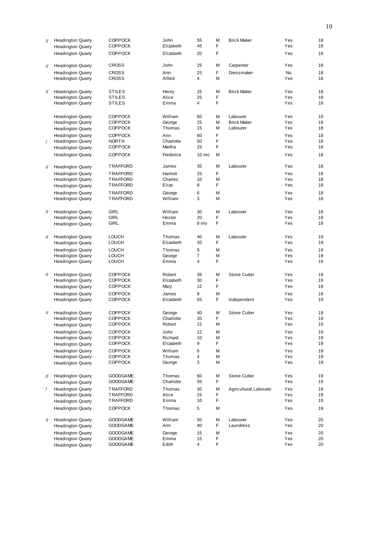| $^{\prime\prime}$ | <b>Headington Quarry</b> | <b>COPPOCK</b>  | John      | 55               | М | <b>Brick Maker</b>    | Yes       | 18 |
|-------------------|--------------------------|-----------------|-----------|------------------|---|-----------------------|-----------|----|
|                   | <b>Headington Quarry</b> | <b>COPPOCK</b>  | Elizabeth | 45               | F |                       | Yes       | 18 |
|                   | <b>Headington Quarry</b> | <b>COPPOCK</b>  | Elizabeth | 20               | F |                       | Yes       | 18 |
|                   |                          |                 |           |                  |   |                       |           |    |
| $^{\prime\prime}$ | <b>Headington Quarry</b> | CROSS           | John      | 25               | Μ | Carpenter             | Yes       | 18 |
|                   |                          |                 |           |                  |   |                       |           |    |
|                   | <b>Headington Quarry</b> | CROSS           | Ann       | 25               | F | Dressmaker            | <b>No</b> | 18 |
|                   | <b>Headington Quarry</b> | CROSS           | Alfred    | 4                | M |                       | Yes       | 18 |
|                   |                          |                 |           |                  |   |                       |           |    |
| $^{\prime\prime}$ | <b>Headington Quarry</b> | STILES          | Henry     | 25               | М | <b>Brick Maker</b>    | Yes       | 18 |
|                   | <b>Headington Quarry</b> | <b>STILES</b>   | Alice     | 25               | F |                       | Yes       | 18 |
|                   | <b>Headington Quarry</b> | STILES          | Emma      | 4                | F |                       | Yes       | 18 |
|                   |                          |                 |           |                  |   |                       |           |    |
|                   |                          |                 |           |                  |   |                       |           |    |
|                   | <b>Headington Quarry</b> | <b>COPPOCK</b>  | William   | 60               | M | Labourer              | Yes       | 18 |
|                   | <b>Headington Quarry</b> | <b>COPPOCK</b>  | George    | 25               | M | <b>Brick Maker</b>    | Yes       | 18 |
|                   | <b>Headington Quarry</b> | <b>COPPOCK</b>  | Thomas    | 15               | M | Labourer              | Yes       | 18 |
|                   | <b>Headington Quarry</b> | <b>COPPOCK</b>  | Ann       | 60               | F |                       | Yes       | 18 |
|                   |                          |                 |           |                  |   |                       |           |    |
| $\prime$          | <b>Headington Quarry</b> | NORTH           | Charlotte | 50               | F |                       | Yes       | 18 |
|                   | <b>Headington Quarry</b> | <b>COPPOCK</b>  | Martha    | 25               | F |                       | Yes       | 18 |
|                   | <b>Headington Quarry</b> | <b>COPPOCK</b>  | Frederick | 10 <sub>mo</sub> | Μ |                       | Yes       | 18 |
|                   |                          |                 |           |                  |   |                       |           |    |
| $^{\prime\prime}$ | <b>Headington Quarry</b> | TRAFFORD        | James     | 35               | M | Labourer              | Yes       | 18 |
|                   |                          |                 |           |                  | F |                       | Yes       | 18 |
|                   | <b>Headington Quarry</b> | TRAFFORD        | Harriett  | 25               |   |                       |           |    |
|                   | <b>Headington Quarry</b> | TRAFFORD        | Charles   | 10               | М |                       | Yes       | 18 |
|                   | <b>Headington Quarry</b> | TRAFFORD        | Eliza     | 8                | F |                       | Yes       | 18 |
|                   | <b>Headington Quarry</b> | TRAFFORD        | George    | 6                | М |                       | Yes       | 18 |
|                   | <b>Headington Quarry</b> | TRAFFORD        | William   | 3                | М |                       | Yes       | 18 |
|                   |                          |                 |           |                  |   |                       |           |    |
|                   |                          |                 |           |                  |   |                       |           |    |
| $^{\prime\prime}$ | <b>Headington Quarry</b> | <b>GIRL</b>     | William   | 30               | М | Labourer              | Yes       | 18 |
|                   | <b>Headington Quarry</b> | <b>GIRL</b>     | Hester    | 20               | F |                       | Yes       | 18 |
|                   | <b>Headington Quarry</b> | GIRL            | Emma      | 8 mo             | F |                       | Yes       | 18 |
|                   |                          |                 |           |                  |   |                       |           |    |
| $\mathcal{U}$     | <b>Headington Quarry</b> | LOUCH           | Thomas    | 40               | М | Labourer              | Yes       | 19 |
|                   | <b>Headington Quarry</b> | <b>LOUCH</b>    | Elizabeth | 35               | F |                       | Yes       | 19 |
|                   |                          |                 |           |                  |   |                       |           |    |
|                   | <b>Headington Quarry</b> | <b>LOUCH</b>    | Thomas    | 9                | M |                       | Yes       | 19 |
|                   | <b>Headington Quarry</b> | LOUCH           | George    | 7                | М |                       | Yes       | 19 |
|                   | <b>Headington Quarry</b> | <b>LOUCH</b>    | Emma      | 4                | F |                       | Yes       | 19 |
|                   |                          |                 |           |                  |   |                       |           |    |
| $^{\prime\prime}$ | <b>Headington Quarry</b> | <b>COPPOCK</b>  | Robert    | 35               | М | <b>Stone Cutter</b>   | Yes       | 19 |
|                   | <b>Headington Quarry</b> | <b>COPPOCK</b>  | Elizabeth | 30               | F |                       | Yes       | 19 |
|                   |                          | <b>COPPOCK</b>  | Mary      | 12               | F |                       | Yes       | 19 |
|                   | <b>Headington Quarry</b> |                 |           |                  |   |                       |           |    |
|                   | <b>Headington Quarry</b> | <b>COPPOCK</b>  | James     | 9                | М |                       | Yes       | 19 |
|                   | <b>Headington Quarry</b> | <b>COPPOCK</b>  | Elizabeth | 65               | F | Independent           | Yes       | 19 |
|                   |                          |                 |           |                  |   |                       |           |    |
| 11                | <b>Headington Quarry</b> | <b>COPPOCK</b>  | George    | 40               | М | <b>Stone Cutter</b>   | Yes       | 19 |
|                   | <b>Headington Quarry</b> | <b>COPPOCK</b>  | Charlotte | 35               | F |                       | Yes       | 19 |
|                   |                          | COPPOCK         | Robert    | 15               | Μ |                       | Yes       | 19 |
|                   | <b>Headington Quarry</b> |                 |           |                  |   |                       |           |    |
|                   | <b>Headington Quarry</b> | <b>COPPOCK</b>  | John      | 12               | M |                       | Yes       | 19 |
|                   | <b>Headington Quarry</b> | <b>COPPOCK</b>  | Richard   | 10               | М |                       | Yes       | 19 |
|                   | <b>Headington Quarry</b> | COPPOCK         | Elizabeth | 9                | F |                       | Yes       | 19 |
|                   | <b>Headington Quarry</b> | <b>COPPOCK</b>  | William   | 6                | Μ |                       | Yes       | 19 |
|                   | <b>Headington Quarry</b> | <b>COPPOCK</b>  | Thomas    | 4                | M |                       | Yes       | 19 |
|                   |                          | COPPOCK         | George    | 3                | Μ |                       | Yes       | 19 |
|                   | <b>Headington Quarry</b> |                 |           |                  |   |                       |           |    |
|                   |                          |                 |           |                  |   |                       |           |    |
| $^{\prime\prime}$ | <b>Headington Quarry</b> | <b>GOODGAME</b> | Thomas    | 60               | М | Stone Cutter          | Yes       | 19 |
|                   | <b>Headington Quarry</b> | <b>GOODGAME</b> | Charlotte | 55               | F |                       | Yes       | 19 |
| $\prime$          | <b>Headington Quarry</b> | TRAFFORD        | Thomas    | 30               | М | Agricultural Labourer | Yes       | 19 |
|                   | <b>Headington Quarry</b> | TRAFFORD        | Alice     | 25               | F |                       | Yes       | 19 |
|                   |                          | TRAFFORD        | Emma      | 10               | F |                       | Yes       | 19 |
|                   | <b>Headington Quarry</b> |                 |           |                  |   |                       |           |    |
|                   | <b>Headington Quarry</b> | <b>COPPOCK</b>  | Thomas    | 5                | М |                       | Yes       | 19 |
|                   |                          |                 |           |                  |   |                       |           |    |
| $^{\prime\prime}$ | <b>Headington Quarry</b> | <b>GOODGAME</b> | William   | 50               | Μ | Labourer              | Yes       | 20 |
|                   | <b>Headington Quarry</b> | <b>GOODGAME</b> | Ann       | 40               | F | Laundress             | Yes       | 20 |
|                   | <b>Headington Quarry</b> | <b>GOODGAME</b> | George    | 15               | Μ |                       | Yes       | 20 |
|                   | <b>Headington Quarry</b> | <b>GOODGAME</b> | Emma      | 15               | F |                       | Yes       | 20 |
|                   |                          | <b>GOODGAME</b> | Edith     | 4                | F |                       | Yes       | 20 |
|                   | <b>Headington Quarry</b> |                 |           |                  |   |                       |           |    |
|                   |                          |                 |           |                  |   |                       |           |    |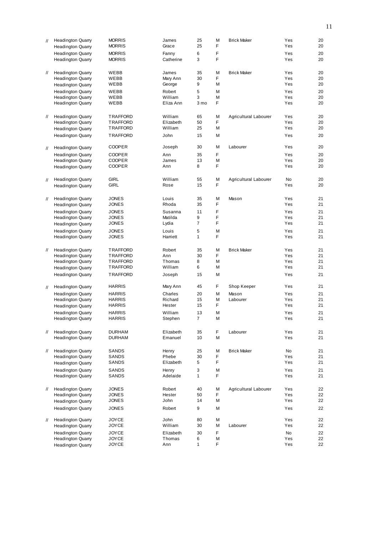| $\prime\prime$    | <b>Headington Quarry</b>                             | <b>MORRIS</b>                  | James                | 25                  | М      | <b>Brick Maker</b>    | Yes        | 20       |
|-------------------|------------------------------------------------------|--------------------------------|----------------------|---------------------|--------|-----------------------|------------|----------|
|                   | <b>Headington Quarry</b>                             | <b>MORRIS</b>                  | Grace                | 25                  | F      |                       | Yes        | 20       |
|                   | <b>Headington Quarry</b>                             | <b>MORRIS</b>                  | Fanny                | 6                   | F      |                       | Yes        | 20       |
|                   | <b>Headington Quarry</b>                             | <b>MORRIS</b>                  | Catherine            | 3                   | F      |                       | Yes        | 20       |
|                   |                                                      |                                |                      |                     |        |                       |            |          |
| $^{\prime\prime}$ | <b>Headington Quarry</b>                             | WEBB                           | James                | 35                  | M      | <b>Brick Maker</b>    | Yes        | 20       |
|                   | <b>Headington Quarry</b>                             | WEBB                           | Mary Ann             | 30                  | F      |                       | Yes        | 20       |
|                   | <b>Headington Quarry</b>                             | WEBB                           | George               | 9                   | М      |                       | Yes        | 20       |
|                   | <b>Headington Quarry</b>                             | WEBB                           | Robert               | 5                   | М      |                       | Yes        | 20       |
|                   | <b>Headington Quarry</b>                             | WEBB                           | William              | 3                   | M      |                       | Yes        | 20       |
|                   | <b>Headington Quarry</b>                             | WEBB                           | Eliza Ann            | 3 mo                | F      |                       | Yes        | 20       |
|                   |                                                      |                                |                      |                     |        |                       |            |          |
| $^{\prime\prime}$ | <b>Headington Quarry</b>                             | TRAFFORD                       | William              | 65                  | М<br>F | Agricultural Labourer | Yes        | 20       |
|                   | <b>Headington Quarry</b>                             | TRAFFORD<br>TRAFFORD           | Elizabeth<br>William | 50<br>25            | М      |                       | Yes<br>Yes | 20<br>20 |
|                   | <b>Headington Quarry</b>                             |                                |                      |                     |        |                       |            |          |
|                   | <b>Headington Quarry</b>                             | TRAFFORD                       | John                 | 15                  | М      |                       | Yes        | 20       |
| $\mathcal{U}$     | <b>Headington Quarry</b>                             | <b>COOPER</b>                  | Joseph               | 30                  | М      | Labourer              | Yes        | 20       |
|                   | <b>Headington Quarry</b>                             | <b>COOPER</b>                  | Ann                  | 35                  | F      |                       | Yes        | 20       |
|                   | <b>Headington Quarry</b>                             | <b>COOPER</b>                  | James                | 13                  | М      |                       | Yes        | 20       |
|                   | <b>Headington Quarry</b>                             | <b>COOPER</b>                  | Ann                  | 8                   | F      |                       | Yes        | 20       |
|                   |                                                      |                                |                      |                     |        |                       |            |          |
| $\prime\prime$    | <b>Headington Quarry</b>                             | <b>GIRL</b>                    | William              | 55                  | М      | Agricultural Labourer | No         | 20       |
|                   | <b>Headington Quarry</b>                             | GIRL                           | Rose                 | 15                  | F      |                       | Yes        | 20       |
|                   |                                                      |                                |                      |                     |        |                       |            |          |
| $\prime\prime$    | <b>Headington Quarry</b>                             | <b>JONES</b>                   | Louis                | 35                  | M<br>F | Mason                 | Yes        | 21       |
|                   | <b>Headington Quarry</b>                             | <b>JONES</b>                   | Rhoda                | 35                  |        |                       | Yes        | 21       |
|                   | <b>Headington Quarry</b>                             | <b>JONES</b>                   | Susanna              | 11                  | F      |                       | Yes        | 21       |
|                   | <b>Headington Quarry</b>                             | <b>JONES</b>                   | Matilda              | 9<br>$\overline{7}$ | F<br>F |                       | Yes<br>Yes | 21       |
|                   | <b>Headington Quarry</b>                             | <b>JONES</b>                   | Lydia                |                     |        |                       |            | 21       |
|                   | <b>Headington Quarry</b>                             | <b>JONES</b>                   | Louis                | 5                   | M      |                       | Yes        | 21       |
|                   | <b>Headington Quarry</b>                             | <b>JONES</b>                   | Harriett             | $\mathbf{1}$        | F      |                       | Yes        | 21       |
| $^{\prime\prime}$ | <b>Headington Quarry</b>                             | TRAFFORD                       | Robert               | 35                  | M      | <b>Brick Maker</b>    | Yes        | 21       |
|                   | <b>Headington Quarry</b>                             | TRAFFORD                       | Ann                  | 30                  | F      |                       | Yes        | 21       |
|                   | <b>Headington Quarry</b>                             | TRAFFORD                       | Thomas               | 8                   | М      |                       | Yes        | 21       |
|                   | <b>Headington Quarry</b>                             | TRAFFORD                       | William              | 6                   | М      |                       | Yes        | 21       |
|                   | <b>Headington Quarry</b>                             | TRAFFORD                       | Joseph               | 15                  | М      |                       | Yes        | 21       |
|                   |                                                      |                                |                      |                     |        |                       |            |          |
| $^{\prime\prime}$ | <b>Headington Quarry</b>                             | <b>HARRIS</b>                  | Mary Ann             | 45                  | F      | Shop Keeper           | Yes        | 21       |
|                   | <b>Headington Quarry</b>                             | <b>HARRIS</b>                  | Charles              | 20                  | M      | Mason                 | Yes        | 21       |
|                   | <b>Headington Quarry</b>                             | <b>HARRIS</b>                  | Richard              | 15                  | М      | Labourer              | Yes        | 21       |
|                   | <b>Headington Quarry</b>                             | <b>HARRIS</b>                  | Hester               | 15                  | F      |                       | Yes        | 21       |
|                   | <b>Headington Quarry</b>                             | <b>HARRIS</b>                  | William              | 13                  | M      |                       | Yes        | 21       |
|                   | <b>Headington Quarry</b>                             | <b>HARRIS</b>                  | Stephen              | $\overline{7}$      | М      |                       | Yes        | 21       |
|                   |                                                      |                                |                      |                     |        |                       |            |          |
| $^{\prime\prime}$ | <b>Headington Quarry</b><br><b>Headington Quarry</b> | <b>DURHAM</b><br><b>DURHAM</b> | Elizabeth<br>Emanuel | 35<br>10            | F<br>М | Labourer              | Yes<br>Yes | 21<br>21 |
|                   |                                                      |                                |                      |                     |        |                       |            |          |
| $^{\prime\prime}$ | <b>Headington Quarry</b>                             | SANDS                          | Henry                | 25                  | М      | <b>Brick Maker</b>    | No         | 21       |
|                   | <b>Headington Quarry</b>                             | <b>SANDS</b>                   | Phebe                | 30                  | F      |                       | Yes        | 21       |
|                   | <b>Headington Quarry</b>                             | SANDS                          | Elizabeth            | 5                   | F      |                       | Yes        | 21       |
|                   | <b>Headington Quarry</b>                             | SANDS                          | Henry                | 3                   | Μ      |                       | Yes        | 21       |
|                   | <b>Headington Quarry</b>                             | SANDS                          | Adelaide             | $\mathbf{1}$        | F      |                       | Yes        | 21       |
|                   |                                                      |                                |                      |                     |        |                       |            |          |
| $^{\prime\prime}$ | <b>Headington Quarry</b>                             | <b>JONES</b>                   | Robert               | 40                  | М      | Agricultural Labourer | Yes        | 22       |
|                   | <b>Headington Quarry</b>                             | <b>JONES</b>                   | Hester               | 50                  | F      |                       | Yes        | 22       |
|                   | <b>Headington Quarry</b>                             | <b>JONES</b>                   | John                 | 14                  | М      |                       | Yes        | 22       |
|                   | <b>Headington Quarry</b>                             | <b>JONES</b>                   | Robert               | 9                   | М      |                       | Yes        | 22       |
|                   |                                                      |                                | John                 |                     |        |                       |            | 22       |
| $\mathcal{U}$     | <b>Headington Quarry</b><br><b>Headington Quarry</b> | <b>JOYCE</b><br><b>JOYCE</b>   | William              | 80<br>30            | М<br>М | Labourer              | Yes<br>Yes | 22       |
|                   |                                                      |                                |                      |                     | F      |                       |            |          |
|                   | <b>Headington Quarry</b><br><b>Headington Quarry</b> | <b>JOYCE</b><br><b>JOYCE</b>   | Elizabeth<br>Thomas  | 30<br>6             | М      |                       | No<br>Yes  | 22<br>22 |
|                   | <b>Headington Quarry</b>                             | <b>JOYCE</b>                   | Ann                  | $\mathbf{1}$        | F      |                       | Yes        | 22       |
|                   |                                                      |                                |                      |                     |        |                       |            |          |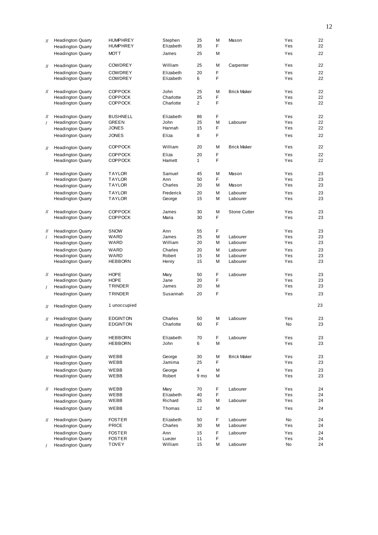| $\mathcal{U}$     | <b>Headington Quarry</b> | <b>HUMPHREY</b> | Stephen   | 25             | М | Mason               | Yes | 22 |
|-------------------|--------------------------|-----------------|-----------|----------------|---|---------------------|-----|----|
|                   | <b>Headington Quarry</b> | <b>HUMPHREY</b> | Elizabeth | 35             | F |                     | Yes | 22 |
|                   | <b>Headington Quarry</b> | <b>MOTT</b>     | James     | 25             | М |                     | Yes | 22 |
| $^{\prime\prime}$ | <b>Headington Quarry</b> | <b>COWDREY</b>  | William   | 25             | М | Carpenter           | Yes | 22 |
|                   | <b>Headington Quarry</b> | <b>COWDREY</b>  | Elizabeth | 20             | F |                     | Yes | 22 |
|                   | <b>Headington Quarry</b> | <b>COWDREY</b>  | Elizabeth | 6              | F |                     | Yes | 22 |
| $^{\prime\prime}$ | <b>Headington Quarry</b> | <b>COPPOCK</b>  | John      | 25             | M | <b>Brick Maker</b>  | Yes | 22 |
|                   | <b>Headington Quarry</b> | <b>COPPOCK</b>  | Charlotte | 25             | F |                     | Yes | 22 |
|                   | <b>Headington Quarry</b> | <b>COPPOCK</b>  | Charlotte | $\overline{2}$ | F |                     | Yes | 22 |
| $^{\prime\prime}$ | <b>Headington Quarry</b> | <b>BUSHNELL</b> | Elizabeth | 86             | F |                     | Yes | 22 |
| $\prime$          | <b>Headington Quarry</b> | GREEN           | John      | 25             | М | Labourer            | Yes | 22 |
|                   | <b>Headington Quarry</b> | <b>JONES</b>    | Hannah    | 15             | F |                     | Yes | 22 |
|                   | <b>Headington Quarry</b> | <b>JONES</b>    | Eliza     | 8              | F |                     | Yes | 22 |
| $^{\prime\prime}$ | <b>Headington Quarry</b> | <b>COPPOCK</b>  | William   | 20             | М | <b>Brick Maker</b>  | Yes | 22 |
|                   | <b>Headington Quarry</b> | <b>COPPOCK</b>  | Eliza     | 20             | F |                     | Yes | 22 |
|                   | <b>Headington Quarry</b> | <b>COPPOCK</b>  | Harriett  | $\mathbf{1}$   | F |                     | Yes | 22 |
| $^{\prime\prime}$ | <b>Headington Quarry</b> | <b>TAYLOR</b>   | Samuel    | 45             | М | Mason               | Yes | 23 |
|                   | <b>Headington Quarry</b> | <b>TAYLOR</b>   | Ann       | 50             | F |                     | Yes | 23 |
|                   | <b>Headington Quarry</b> | TAYLOR          | Charles   | 20             | M | Mason               | Yes | 23 |
|                   | <b>Headington Quarry</b> | <b>TAYLOR</b>   | Frederick | 20             | M | Labourer            | Yes | 23 |
|                   | <b>Headington Quarry</b> | TAYLOR          | George    | 15             | M | Labourer            | Yes | 23 |
| $^{\prime\prime}$ | <b>Headington Quarry</b> | <b>COPPOCK</b>  | James     | 30             | М | <b>Stone Cutter</b> | Yes | 23 |
|                   | <b>Headington Quarry</b> | <b>COPPOCK</b>  | Maria     | 30             | F |                     | Yes | 23 |
| $^{\prime\prime}$ | <b>Headington Quarry</b> | <b>SNOW</b>     | Ann       | 55             | F |                     | Yes | 23 |
| $\prime$          | <b>Headington Quarry</b> | WARD            | James     | 25             | М | Labourer            | Yes | 23 |
|                   | <b>Headington Quarry</b> | WARD            | William   | 20             | M | Labourer            | Yes | 23 |
|                   | <b>Headington Quarry</b> | WARD            | Charles   | 20             | M | Labourer            | Yes | 23 |
|                   | <b>Headington Quarry</b> | WARD            | Robert    | 15             | М | Labourer            | Yes | 23 |
|                   | <b>Headington Quarry</b> | <b>HEBBORN</b>  | Henry     | 15             | М | Labourer            | Yes | 23 |
| $^{\prime\prime}$ | <b>Headington Quarry</b> | <b>HOPE</b>     | Mary      | 50             | F | Labourer            | Yes | 23 |
|                   | <b>Headington Quarry</b> | <b>HOPE</b>     | Jane      | 20             | F |                     | Yes | 23 |
| $\prime$          | <b>Headington Quarry</b> | TRINDER         | James     | 20             | М |                     | Yes | 23 |
|                   | <b>Headington Quarry</b> | <b>TRINDER</b>  | Susannah  | 20             | F |                     | Yes | 23 |
| $^{\prime\prime}$ | <b>Headington Quarry</b> | 1 unoccupied    |           |                |   |                     |     | 23 |
|                   | <b>Headington Quarry</b> | <b>EDGINTON</b> | Charles   | 50             | М | Labourer            | Yes | 23 |
|                   | <b>Headington Quarry</b> | <b>EDGINTON</b> | Charlotte | 60             | F |                     | No  | 23 |
|                   |                          |                 |           |                |   |                     |     |    |
| $^{\prime\prime}$ | <b>Headington Quarry</b> | <b>HEBBORN</b>  | Elizabeth | 70             | F | Labourer            | Yes | 23 |
|                   | <b>Headington Quarry</b> | <b>HEBBORN</b>  | John      | 6              | М |                     | Yes | 23 |
| $\frac{1}{2}$     | <b>Headington Quarry</b> | WEBB            | George    | 30             | М | <b>Brick Maker</b>  | Yes | 23 |
|                   | <b>Headington Quarry</b> | WEBB            | Jamima    | 25             | F |                     | Yes | 23 |
|                   | <b>Headington Quarry</b> | WEBB            | George    | $\overline{4}$ | M |                     | Yes | 23 |
|                   | <b>Headington Quarry</b> | WEBB            | Robert    | 9 mo           | М |                     | Yes | 23 |
| $^{\prime\prime}$ | <b>Headington Quarry</b> | <b>WEBB</b>     | Mary      | 70             | F | Labourer            | Yes | 24 |
|                   | <b>Headington Quarry</b> | WEBB            | Elizabeth | 40             | F |                     | Yes | 24 |
|                   | <b>Headington Quarry</b> | WEBB            | Richard   | 25             | М | Labourer            | Yes | 24 |
|                   | <b>Headington Quarry</b> | WEBB            | Thomas    | 12             | М |                     | Yes | 24 |
| $^{\prime\prime}$ | <b>Headington Quarry</b> | <b>FOSTER</b>   | Elizabeth | 50             | F | Labourer            | No  | 24 |
|                   | <b>Headington Quarry</b> | PRICE           | Charles   | 30             | М | Labourer            | Yes | 24 |
|                   | <b>Headington Quarry</b> | <b>FOSTER</b>   | Ann       | 15             | F | Labourer            | Yes | 24 |
|                   | <b>Headington Quarry</b> | <b>FOSTER</b>   | Luezer    | 11             | F |                     | Yes | 24 |
|                   | <b>Headington Quarry</b> | <b>TOVEY</b>    | William   | 15             | М | Labourer            | No  | 24 |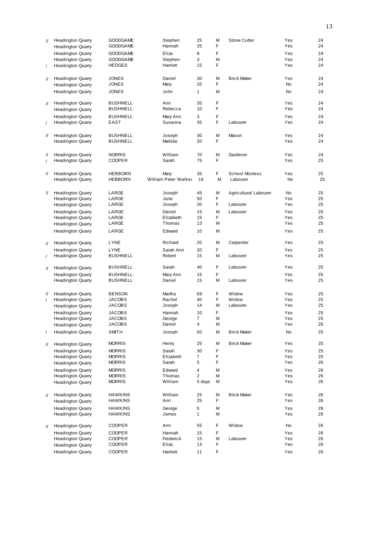| $\prime\prime$    | <b>Headington Quarry</b>                             | <b>GOODGAME</b>                | Stephen              | 25       | М      | <b>Stone Cutter</b>    | Yes        | 24       |
|-------------------|------------------------------------------------------|--------------------------------|----------------------|----------|--------|------------------------|------------|----------|
|                   | <b>Headington Quarry</b>                             | <b>GOODGAME</b>                | Hannah               | 25       | F      |                        | Yes        | 24       |
|                   | <b>Headington Quarry</b>                             | <b>GOODGAME</b>                | Eliza                | 8        | F      |                        | Yes        | 24       |
|                   | <b>Headington Quarry</b>                             | <b>GOODGAME</b>                | Stephen              | 3        | М      |                        | Yes        | 24       |
| $\prime$          | <b>Headington Quarry</b>                             | <b>HEDGES</b>                  | Harriett             | 15       | F      |                        | Yes        | 24       |
|                   |                                                      |                                |                      |          |        |                        |            |          |
| $^{\prime\prime}$ | <b>Headington Quarry</b>                             | <b>JONES</b>                   | Daniel               | 30       | M      | <b>Brick Maker</b>     | Yes        | 24       |
|                   |                                                      | <b>JONES</b>                   | Mary                 | 20       | F      |                        | No         | 24       |
|                   | <b>Headington Quarry</b>                             |                                |                      |          |        |                        |            |          |
|                   | <b>Headington Quarry</b>                             | <b>JONES</b>                   | John                 | 1        | M      |                        | No         | 24       |
|                   |                                                      |                                |                      |          |        |                        |            |          |
| $\prime\prime$    | <b>Headington Quarry</b>                             | <b>BUSHNELL</b>                | Ann                  | 35       | F<br>F |                        | Yes<br>Yes | 24       |
|                   | <b>Headington Quarry</b>                             | <b>BUSHNELL</b>                | Rebecca              | 10       |        |                        |            | 24       |
|                   | <b>Headington Quarry</b>                             | <b>BUSHNELL</b>                | Mary Ann             | 3        | F      |                        | Yes        | 24       |
| $\prime$          | <b>Headington Quarry</b>                             | EAST                           | Susanna              | 35       | F      | Labourer               | Yes        | 24       |
|                   |                                                      |                                |                      |          |        |                        |            |          |
| $^{\prime\prime}$ | <b>Headington Quarry</b>                             | <b>BUSHNELL</b>                | Joseph               | 30       | М      | Mason                  | Yes        | 24       |
|                   | <b>Headington Quarry</b>                             | <b>BUSHNELL</b>                | Matilda              | 20       | F      |                        | Yes        | 24       |
|                   |                                                      |                                |                      |          |        |                        |            |          |
| $^{\prime\prime}$ | <b>Headington Quarry</b>                             | <b>NORRIS</b>                  | William              | 70       | M      | Gardener               | Yes        | 24       |
|                   | <b>Headington Quarry</b>                             | <b>COOPER</b>                  | Sarah                | 75       | F      |                        | Yes        | 25       |
|                   |                                                      |                                |                      |          |        |                        |            |          |
| $^{\prime\prime}$ | <b>Headington Quarry</b>                             | <b>HEBBORN</b>                 | Mary                 | 35       | F      | <b>School Mistress</b> | Yes        | 25       |
|                   | <b>Headington Quarry</b>                             | <b>HEBBORN</b>                 | William Peter Walker | 16       | М      | Labourer               | No         | 25       |
|                   |                                                      |                                |                      |          |        |                        |            |          |
|                   |                                                      |                                |                      |          |        |                        |            |          |
| $^{\prime\prime}$ | <b>Headington Quarry</b>                             | LARGE                          | Joseph               | 45       | M      | Agricultural Labourer  | No         | 25       |
|                   | <b>Headington Quarry</b>                             | LARGE                          | Jane                 | 50       | F      |                        | Yes        | 25       |
|                   | <b>Headington Quarry</b>                             | LARGE                          | Joseph               | 20       | F      | Labourer               | Yes        | 25       |
|                   | <b>Headington Quarry</b>                             | LARGE                          | Daniel               | 15       | M      | Labourer               | Yes        | 25       |
|                   | <b>Headington Quarry</b>                             | LARGE                          | Elizabeth            | 15       | F      |                        | Yes        | 25       |
|                   | <b>Headington Quarry</b>                             | LARGE                          | Thomas               | 13       | М      |                        | Yes        | 25       |
|                   | <b>Headington Quarry</b>                             | LARGE                          | Edward               | 10       | M      |                        | Yes        | 25       |
|                   |                                                      |                                |                      |          |        |                        |            |          |
| $^{\prime\prime}$ | <b>Headington Quarry</b>                             | LYNE                           | Richard              | 20       | М      | Carpenter              | Yes        | 25       |
|                   | <b>Headington Quarry</b>                             | LYNE                           | Sarah Ann            | 20       | F      |                        | Yes        | 25       |
| $\sqrt{2}$        | <b>Headington Quarry</b>                             | <b>BUSHNELL</b>                | Robert               | 15       | M      | Labourer               | Yes        | 25       |
|                   |                                                      |                                |                      |          |        |                        |            |          |
| $^{\prime\prime}$ | <b>Headington Quarry</b>                             | <b>BUSHNELL</b>                | Sarah                | 40       | F      | Labourer               | Yes        | 25       |
|                   |                                                      |                                |                      |          | F      |                        |            | 25       |
|                   | <b>Headington Quarry</b>                             | <b>BUSHNELL</b>                | Mary Ann<br>Daniel   | 15<br>15 | M      |                        | Yes<br>Yes | 25       |
|                   | <b>Headington Quarry</b>                             | <b>BUSHNELL</b>                |                      |          |        | Labourer               |            |          |
|                   |                                                      |                                |                      |          |        |                        |            |          |
| $^{\prime\prime}$ | <b>Headington Quarry</b>                             | <b>BENSON</b>                  | Martha               | 69       | F      | Widow                  | Yes        | 25       |
|                   | <b>Headington Quarry</b>                             | <b>JACOBS</b>                  | Rachel               | 40       | F      | Widow                  | Yes        | 25       |
|                   | <b>Headington Quarry</b>                             | <b>JACOBS</b>                  | Joseph               | 14       | М      | Labourer               | Yes        | 25       |
|                   | <b>Headington Quarry</b>                             | <b>JACOBS</b>                  | Hannah               | 10       | F      |                        | Yes        | 25       |
|                   | <b>Headington Quarry</b>                             | JACOBS                         | George               | 7        | M      |                        | Yes        | 25       |
|                   | <b>Headington Quarry</b>                             | <b>JACOBS</b>                  | Daniel               | 4        | М      |                        | Yes        | 25       |
| $\prime$          | <b>Headington Quarry</b>                             | <b>SMITH</b>                   | Joseph               | 50       | М      | <b>Brick Maker</b>     | No         | 25       |
|                   |                                                      |                                |                      |          |        |                        |            |          |
| $\mathcal{U}$     | Headington Quarry                                    | <b>MORRIS</b>                  | Henry                | 25       | М      | <b>Brick Maker</b>     | Yes        | 25       |
|                   | <b>Headington Quarry</b>                             | <b>MORRIS</b>                  | Sarah                | 30       | F      |                        | Yes        | 25       |
|                   | <b>Headington Quarry</b>                             | <b>MORRIS</b>                  | Elizabeth            | 7        | F      |                        | Yes        | 25       |
|                   | <b>Headington Quarry</b>                             | <b>MORRIS</b>                  | Sarah                | 5        | F      |                        | Yes        | 26       |
|                   |                                                      |                                | Edward               | 4        |        |                        |            | 26       |
|                   | <b>Headington Quarry</b><br><b>Headington Quarry</b> | <b>MORRIS</b>                  | Thomas               | 2        | М<br>M |                        | Yes<br>Yes |          |
|                   |                                                      | <b>MORRIS</b><br><b>MORRIS</b> | William              | 5 days   | М      |                        | Yes        | 26<br>26 |
|                   | <b>Headington Quarry</b>                             |                                |                      |          |        |                        |            |          |
|                   |                                                      |                                |                      |          |        |                        |            |          |
| $^{\prime\prime}$ | <b>Headington Quarry</b>                             | <b>HAWKINS</b>                 | William              | 25       | М      | <b>Brick Maker</b>     | Yes        | 26       |
|                   | Headington Quarry                                    | <b>HAWKINS</b>                 | Ann                  | 25       | F      |                        | Yes        | 26       |
|                   | <b>Headington Quarry</b>                             | <b>HAWKINS</b>                 | George               | 5        | М      |                        | Yes        | 26       |
|                   | <b>Headington Quarry</b>                             | <b>HAWKINS</b>                 | James                | 1        | М      |                        | Yes        | 26       |
|                   |                                                      |                                |                      |          |        |                        |            |          |
| $\prime\prime$    | <b>Headington Quarry</b>                             | <b>COOPER</b>                  | Ann                  | 55       | F      | Widow                  | No         | 26       |
|                   | <b>Headington Quarry</b>                             | <b>COOPER</b>                  | Hannah               | 15       | F      |                        | Yes        | 26       |
|                   | <b>Headington Quarry</b>                             | <b>COOPER</b>                  | Frederick            | 15       | М      | Labourer               | Yes        | 26       |
|                   | <b>Headington Quarry</b>                             | <b>COOPER</b>                  | Eliza                | 13       | F      |                        | Yes        | 26       |
|                   | <b>Headington Quarry</b>                             | <b>COOPER</b>                  | Harriett             | 11       | F      |                        | Yes        | 26       |
|                   |                                                      |                                |                      |          |        |                        |            |          |